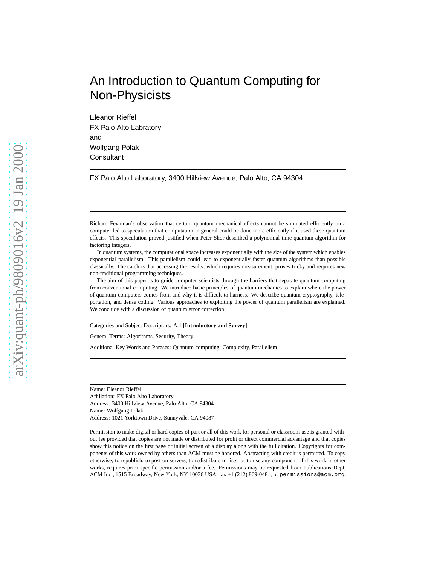# An Introduction to Quantum Computing for Non-Physicists

Eleanor Rieffel FX Palo Alto Labratory and Wolfgang Polak **Consultant** 

FX Palo Alto Laboratory, 3400 Hillview Avenue, Palo Alto, CA 94304

Categories and Subject Descriptors: A.1 [**Introductory and Survey**]

General Terms: Algorithms, Security, Theory

Additional Key Words and Phrases: Quantum computing, Complexity, Parallelism

Name: Eleanor Rieffel

Address: 1021 Yorktown Drive, Sunnyvale, CA 94087

Permission to make digital or hard copies of part or all of this work for personal or classroom use is granted without fee provided that copies are not made or distributed for profit or direct commercial advantage and that copies show this notice on the first page or initial screen of a display along with the full citation. Copyrights for components of this work owned by others than ACM must be honored. Abstracting with credit is permitted. To copy otherwise, to republish, to post on servers, to redistribute to lists, or to use any component of this work in other works, requires prior specific permission and/or a fee. Permissions may be requested from Publications Dept, ACM Inc., 1515 Broadway, New York, NY 10036 USA, fax +1 (212) 869-0481, or permissions@acm.org.

Richard Feynman's observation that certain quantum mechanical effects cannot be simulated efficiently on a computer led to speculation that computation in general could be done more efficiently if it used these quantum effects. This speculation proved justified when Peter Shor described a polynomial time quantum algorithm for factoring integers.

In quantum systems, the computational space increases exponentially with the size of the system which enables exponential parallelism. This parallelism could lead to exponentially faster quantum algorithms than possible classically. The catch is that accessing the results, which requires measurement, proves tricky and requires new non-traditional programming techniques.

The aim of this paper is to guide computer scientists through the barriers that separate quantum computing from conventional computing. We introduce basic principles of quantum mechanics to explain where the power of quantum computers comes from and why it is difficult to harness. We describe quantum cryptography, teleportation, and dense coding. Various approaches to exploiting the power of quantum parallelism are explained. We conclude with a discussion of quantum error correction.

Affiliation: FX Palo Alto Laboratory Address: 3400 Hillview Avenue, Palo Alto, CA 94304 Name: Wolfgang Polak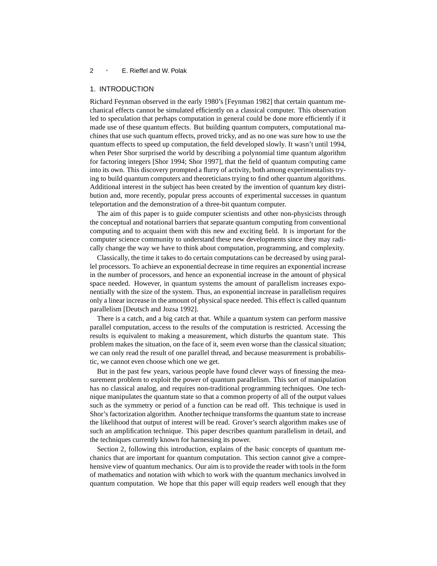## 1. INTRODUCTION

Richard Feynman observed in the early 1980's [Feynman 1982] that certain quantum mechanical effects cannot be simulated efficiently on a classical computer. This observation led to speculation that perhaps computation in general could be done more efficiently if it made use of these quantum effects. But building quantum computers, computational machines that use such quantum effects, proved tricky, and as no one was sure how to use the quantum effects to speed up computation, the field developed slowly. It wasn't until 1994, when Peter Shor surprised the world by describing a polynomial time quantum algorithm for factoring integers [Shor 1994; Shor 1997], that the field of quantum computing came into its own. This discovery prompted a flurry of activity, both among experimentalists trying to build quantum computers and theoreticians trying to find other quantum algorithms. Additional interest in the subject has been created by the invention of quantum key distribution and, more recently, popular press accounts of experimental successes in quantum teleportation and the demonstration of a three-bit quantum computer.

The aim of this paper is to guide computer scientists and other non-physicists through the conceptual and notational barriers that separate quantum computing from conventional computing and to acquaint them with this new and exciting field. It is important for the computer science community to understand these new developments since they may radically change the way we have to think about computation, programming, and complexity.

Classically, the time it takes to do certain computations can be decreased by using parallel processors. To achieve an exponential decrease in time requires an exponential increase in the number of processors, and hence an exponential increase in the amount of physical space needed. However, in quantum systems the amount of parallelism increases exponentially with the size of the system. Thus, an exponential increase in parallelism requires only a linear increase in the amount of physical space needed. This effect is called quantum parallelism [Deutsch and Jozsa 1992].

There is a catch, and a big catch at that. While a quantum system can perform massive parallel computation, access to the results of the computation is restricted. Accessing the results is equivalent to making a measurement, which disturbs the quantum state. This problem makes the situation, on the face of it, seem even worse than the classical situation; we can only read the result of one parallel thread, and because measurement is probabilistic, we cannot even choose which one we get.

But in the past few years, various people have found clever ways of finessing the measurement problem to exploit the power of quantum parallelism. This sort of manipulation has no classical analog, and requires non-traditional programming techniques. One technique manipulates the quantum state so that a common property of all of the output values such as the symmetry or period of a function can be read off. This technique is used in Shor's factorization algorithm. Another technique transforms the quantum state to increase the likelihood that output of interest will be read. Grover's search algorithm makes use of such an amplification technique. This paper describes quantum parallelism in detail, and the techniques currently known for harnessing its power.

Section 2, following this introduction, explains of the basic concepts of quantum mechanics that are important for quantum computation. This section cannot give a comprehensive view of quantum mechanics. Our aim is to provide the reader with tools in the form of mathematics and notation with which to work with the quantum mechanics involved in quantum computation. We hope that this paper will equip readers well enough that they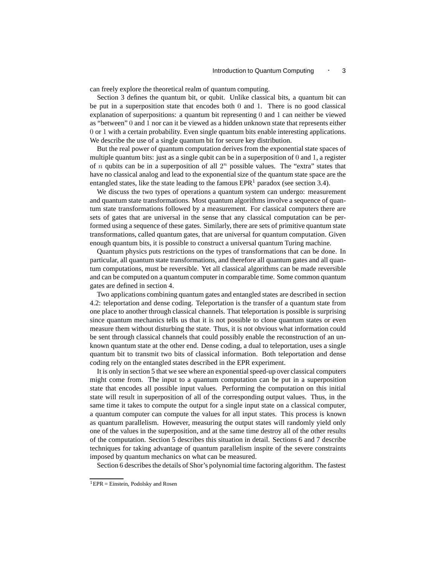can freely explore the theoretical realm of quantum computing.

Section 3 defines the quantum bit, or qubit. Unlike classical bits, a quantum bit can be put in a superposition state that encodes both 0 and 1. There is no good classical explanation of superpositions: a quantum bit representing 0 and 1 can neither be viewed as "between" 0 and 1 nor can it be viewed as a hidden unknown state that represents either 0 or 1 with a certain probability. Even single quantum bits enable interesting applications. We describe the use of a single quantum bit for secure key distribution.

But the real power of quantum computation derives from the exponential state spaces of multiple quantum bits: just as a single qubit can be in a superposition of  $0$  and  $1$ , a register of *n* qubits can be in a superposition of all  $2^n$  possible values. The "extra" states that have no classical analog and lead to the exponential size of the quantum state space are the entangled states, like the state leading to the famous  $EPR<sup>1</sup>$  paradox (see section 3.4).

We discuss the two types of operations a quantum system can undergo: measurement and quantum state transformations. Most quantum algorithms involve a sequence of quantum state transformations followed by a measurement. For classical computers there are sets of gates that are universal in the sense that any classical computation can be performed using a sequence of these gates. Similarly, there are sets of primitive quantum state transformations, called quantum gates, that are universal for quantum computation. Given enough quantum bits, it is possible to construct a universal quantum Turing machine.

Quantum physics puts restrictions on the types of transformations that can be done. In particular, all quantum state transformations, and therefore all quantum gates and all quantum computations, must be reversible. Yet all classical algorithms can be made reversible and can be computed on a quantum computer in comparable time. Some common quantum gates are defined in section 4.

Two applications combining quantum gates and entangled states are described in section 4.2: teleportation and dense coding. Teleportation is the transfer of a quantum state from one place to another through classical channels. That teleportation is possible is surprising since quantum mechanics tells us that it is not possible to clone quantum states or even measure them without disturbing the state. Thus, it is not obvious what information could be sent through classical channels that could possibly enable the reconstruction of an unknown quantum state at the other end. Dense coding, a dual to teleportation, uses a single quantum bit to transmit two bits of classical information. Both teleportation and dense coding rely on the entangled states described in the EPR experiment.

It is only in section 5 that we see where an exponential speed-up over classical computers might come from. The input to a quantum computation can be put in a superposition state that encodes all possible input values. Performing the computation on this initial state will result in superposition of all of the corresponding output values. Thus, in the same time it takes to compute the output for a single input state on a classical computer, a quantum computer can compute the values for all input states. This process is known as quantum parallelism. However, measuring the output states will randomly yield only one of the values in the superposition, and at the same time destroy all of the other results of the computation. Section 5 describes this situation in detail. Sections 6 and 7 describe techniques for taking advantage of quantum parallelism inspite of the severe constraints imposed by quantum mechanics on what can be measured.

Section 6 describes the details of Shor's polynomial time factoring algorithm. The fastest

 ${}^{1}$ EPR = Einstein, Podolsky and Rosen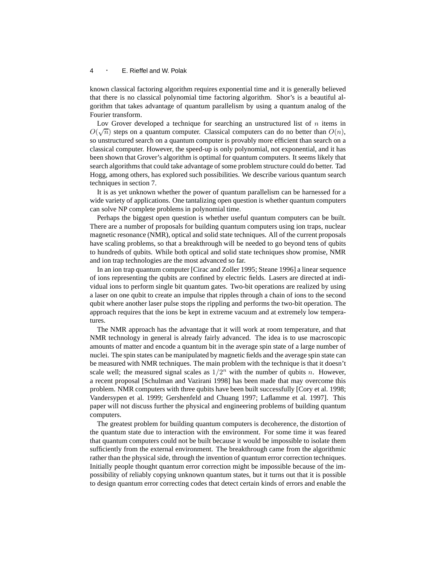known classical factoring algorithm requires exponential time and it is generally believed that there is no classical polynomial time factoring algorithm. Shor's is a beautiful algorithm that takes advantage of quantum parallelism by using a quantum analog of the Fourier transform.

Lov Grover developed a technique for searching an unstructured list of  $n$  items in  $O(\sqrt{n})$  steps on a quantum computer. Classical computers can do no better than  $O(n)$ , so unstructured search on a quantum computer is provably more efficient than search on a classical computer. However, the speed-up is only polynomial, not exponential, and it has been shown that Grover's algorithm is optimal for quantum computers. It seems likely that search algorithms that could take advantage of some problem structure could do better. Tad Hogg, among others, has explored such possibilities. We describe various quantum search techniques in section 7.

It is as yet unknown whether the power of quantum parallelism can be harnessed for a wide variety of applications. One tantalizing open question is whether quantum computers can solve NP complete problems in polynomial time.

Perhaps the biggest open question is whether useful quantum computers can be built. There are a number of proposals for building quantum computers using ion traps, nuclear magnetic resonance (NMR), optical and solid state techniques. All of the current proposals have scaling problems, so that a breakthrough will be needed to go beyond tens of qubits to hundreds of qubits. While both optical and solid state techniques show promise, NMR and ion trap technologies are the most advanced so far.

In an ion trap quantum computer [Cirac and Zoller 1995; Steane 1996] a linear sequence of ions representing the qubits are confined by electric fields. Lasers are directed at individual ions to perform single bit quantum gates. Two-bit operations are realized by using a laser on one qubit to create an impulse that ripples through a chain of ions to the second qubit where another laser pulse stops the rippling and performs the two-bit operation. The approach requires that the ions be kept in extreme vacuum and at extremely low temperatures.

The NMR approach has the advantage that it will work at room temperature, and that NMR technology in general is already fairly advanced. The idea is to use macroscopic amounts of matter and encode a quantum bit in the average spin state of a large number of nuclei. The spin states can be manipulated by magnetic fields and the average spin state can be measured with NMR techniques. The main problem with the technique is that it doesn't scale well; the measured signal scales as  $1/2^n$  with the number of qubits n. However, a recent proposal [Schulman and Vazirani 1998] has been made that may overcome this problem. NMR computers with three qubits have been built successfully [Cory et al. 1998; Vandersypen et al. 1999; Gershenfeld and Chuang 1997; Laflamme et al. 1997]. This paper will not discuss further the physical and engineering problems of building quantum computers.

The greatest problem for building quantum computers is decoherence, the distortion of the quantum state due to interaction with the environment. For some time it was feared that quantum computers could not be built because it would be impossible to isolate them sufficiently from the external environment. The breakthrough came from the algorithmic rather than the physical side, through the invention of quantum error correction techniques. Initially people thought quantum error correction might be impossible because of the impossibility of reliably copying unknown quantum states, but it turns out that it is possible to design quantum error correcting codes that detect certain kinds of errors and enable the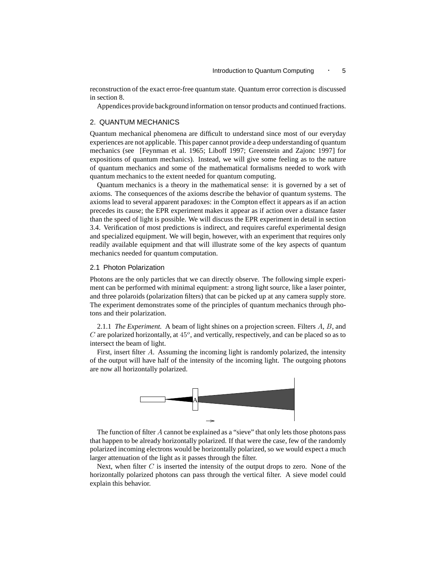reconstruction of the exact error-free quantum state. Quantum error correction is discussed in section 8.

Appendices provide background information on tensor products and continued fractions.

## 2. QUANTUM MECHANICS

Quantum mechanical phenomena are difficult to understand since most of our everyday experiences are not applicable. This paper cannot provide a deep understanding of quantum mechanics (see [Feynman et al. 1965; Liboff 1997; Greenstein and Zajonc 1997] for expositions of quantum mechanics). Instead, we will give some feeling as to the nature of quantum mechanics and some of the mathematical formalisms needed to work with quantum mechanics to the extent needed for quantum computing.

Quantum mechanics is a theory in the mathematical sense: it is governed by a set of axioms. The consequences of the axioms describe the behavior of quantum systems. The axioms lead to several apparent paradoxes: in the Compton effect it appears as if an action precedes its cause; the EPR experiment makes it appear as if action over a distance faster than the speed of light is possible. We will discuss the EPR experiment in detail in section 3.4. Verification of most predictions is indirect, and requires careful experimental design and specialized equipment. We will begin, however, with an experiment that requires only readily available equipment and that will illustrate some of the key aspects of quantum mechanics needed for quantum computation.

## 2.1 Photon Polarization

Photons are the only particles that we can directly observe. The following simple experiment can be performed with minimal equipment: a strong light source, like a laser pointer, and three polaroids (polarization filters) that can be picked up at any camera supply store. The experiment demonstrates some of the principles of quantum mechanics through photons and their polarization.

2.1.1 *The Experiment.* A beam of light shines on a projection screen. Filters A, B, and  $C$  are polarized horizontally, at  $45^{\circ}$ , and vertically, respectively, and can be placed so as to intersect the beam of light.

First, insert filter A. Assuming the incoming light is randomly polarized, the intensity of the output will have half of the intensity of the incoming light. The outgoing photons are now all horizontally polarized.



The function of filter A cannot be explained as a "sieve" that only lets those photons pass that happen to be already horizontally polarized. If that were the case, few of the randomly polarized incoming electrons would be horizontally polarized, so we would expect a much larger attenuation of the light as it passes through the filter.

Next, when filter  $C$  is inserted the intensity of the output drops to zero. None of the horizontally polarized photons can pass through the vertical filter. A sieve model could explain this behavior.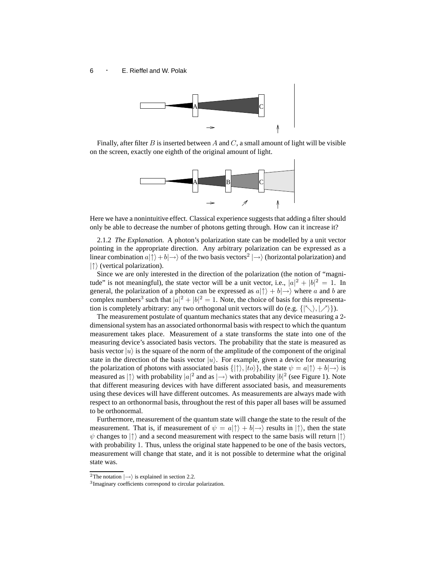<sup>6</sup> · E. Rieffel and W. Polak



Finally, after filter B is inserted between A and C, a small amount of light will be visible on the screen, exactly one eighth of the original amount of light.



Here we have a nonintuitive effect. Classical experience suggests that adding a filter should only be able to decrease the number of photons getting through. How can it increase it?

2.1.2 *The Explanation.* A photon's polarization state can be modelled by a unit vector pointing in the appropriate direction. Any arbitrary polarization can be expressed as a linear combination  $a|\uparrow\rangle + b|\rightarrow\rangle$  of the two basis vectors<sup>2</sup>  $|\rightarrow\rangle$  (horizontal polarization) and  $|\uparrow\rangle$  (vertical polarization).

Since we are only interested in the direction of the polarization (the notion of "magnitude" is not meaningful), the state vector will be a unit vector, i.e.,  $|a|^2 + |b|^2 = 1$ . In general, the polarization of a photon can be expressed as  $a|\uparrow\rangle + b|\rightarrow\rangle$  where a and b are complex numbers<sup>3</sup> such that  $|a|^2 + |b|^2 = 1$ . Note, the choice of basis for this representation is completely arbitrary: any two orthogonal unit vectors will do (e.g.  $\{|\langle \rangle, |\rangle \rangle\}$ ).

The measurement postulate of quantum mechanics states that any device measuring a 2 dimensional system has an associated orthonormal basis with respect to which the quantum measurement takes place. Measurement of a state transforms the state into one of the measuring device's associated basis vectors. The probability that the state is measured as basis vector  $|u\rangle$  is the square of the norm of the amplitude of the component of the original state in the direction of the basis vector  $|u\rangle$ . For example, given a device for measuring the polarization of photons with associated basis  $\{|\uparrow\rangle, |to\rangle\}$ , the state  $\psi = a|\uparrow\rangle + b|\rightarrow\rangle$  is measured as  $|\uparrow\rangle$  with probability  $|a|^2$  and as  $|\rightarrow\rangle$  with probability  $|b|^2$  (see Figure 1). Note that different measuring devices with have different associated basis, and measurements using these devices will have different outcomes. As measurements are always made with respect to an orthonormal basis, throughout the rest of this paper all bases will be assumed to be orthonormal.

Furthermore, measurement of the quantum state will change the state to the result of the measurement. That is, if measurement of  $\psi = a|\uparrow\rangle + b|\rightarrow\rangle$  results in  $|\uparrow\rangle$ , then the state  $\psi$  changes to  $|\uparrow\rangle$  and a second measurement with respect to the same basis will return  $|\uparrow\rangle$ with probability 1. Thus, unless the original state happened to be one of the basis vectors, measurement will change that state, and it is not possible to determine what the original state was.

<sup>&</sup>lt;sup>2</sup>The notation  $| \rightarrow \rangle$  is explained in section 2.2.

<sup>3</sup> Imaginary coefficients correspond to circular polarization.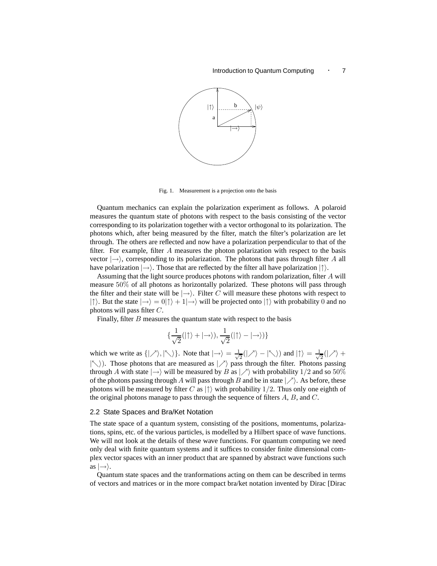#### Introduction to Quantum Computing  $\cdot$  7



Fig. 1. Measurement is a projection onto the basis

Quantum mechanics can explain the polarization experiment as follows. A polaroid measures the quantum state of photons with respect to the basis consisting of the vector corresponding to its polarization together with a vector orthogonal to its polarization. The photons which, after being measured by the filter, match the filter's polarization are let through. The others are reflected and now have a polarization perpendicular to that of the filter. For example, filter  $A$  measures the photon polarization with respect to the basis vector  $\ket{\rightarrow}$ , corresponding to its polarization. The photons that pass through filter A all have polarization  $|\rightarrow\rangle$ . Those that are reflected by the filter all have polarization  $|\uparrow\rangle$ .

Assuming that the light source produces photons with random polarization, filter A will measure 50% of all photons as horizontally polarized. These photons will pass through the filter and their state will be  $|\rightarrow\rangle$ . Filter C will measure these photons with respect to |↑. But the state  $|\rightarrow\rangle = 0|\uparrow\rangle + 1|\rightarrow\rangle$  will be projected onto  $|\uparrow\rangle$  with probability 0 and no photons will pass filter C.

Finally, filter  $B$  measures the quantum state with respect to the basis

$$
\{\frac{1}{\sqrt{2}}(|\uparrow\rangle+|{\rightarrow}\rangle), \frac{1}{\sqrt{2}}(|\uparrow\rangle-|{\rightarrow}\rangle)\}
$$

which we write as  $\{|\nearrow\rangle, |\nwarrow\rangle\}$ . Note that  $|\rightarrow\rangle = \frac{1}{\sqrt{2\pi}}$  $\frac{1}{2}(|\nearrow\rangle - |\nwarrow\rangle)$  and  $|\uparrow\rangle = \frac{1}{\sqrt{2}}$  $\frac{1}{2}(|\nearrow\rangle +$  $|\nwarrow\rangle$ ). Those photons that are measured as  $|\nearrow\rangle$  pass through the filter. Photons passing through A with state  $| \rightarrow \rangle$  will be measured by B as  $| \rightarrow \rangle$  with probability 1/2 and so 50% of the photons passing through A will pass through B and be in state  $|\nearrow\rangle$ . As before, these photons will be measured by filter C as  $|\uparrow\rangle$  with probability 1/2. Thus only one eighth of the original photons manage to pass through the sequence of filters A, B, and C.

## 2.2 State Spaces and Bra/Ket Notation

The state space of a quantum system, consisting of the positions, momentums, polarizations, spins, etc. of the various particles, is modelled by a Hilbert space of wave functions. We will not look at the details of these wave functions. For quantum computing we need only deal with finite quantum systems and it suffices to consider finite dimensional complex vector spaces with an inner product that are spanned by abstract wave functions such as  $|\rightarrow\rangle$ .

Quantum state spaces and the tranformations acting on them can be described in terms of vectors and matrices or in the more compact bra/ket notation invented by Dirac [Dirac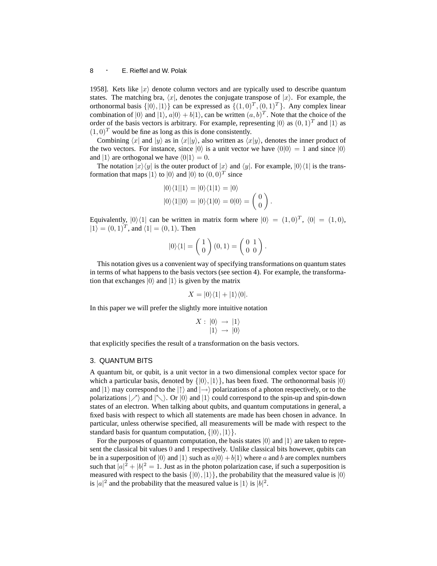1958]. Kets like  $|x\rangle$  denote column vectors and are typically used to describe quantum states. The matching bra,  $\langle x|$ , denotes the conjugate transpose of  $|x\rangle$ . For example, the orthonormal basis  $\{|0\rangle, |1\rangle\}$  can be expressed as  $\{(1, 0)^T, (0, 1)^T\}$ . Any complex linear combination of  $|0\rangle$  and  $|1\rangle$ ,  $a|0\rangle + b|1\rangle$ , can be written  $(a, b)^T$ . Note that the choice of the order of the basis vectors is arbitrary. For example, representing  $|0\rangle$  as  $(0, 1)^T$  and  $|1\rangle$  as  $(1, 0)^T$  would be fine as long as this is done consistently.

Combining  $\langle x|$  and  $|y\rangle$  as in  $\langle x||y\rangle$ , also written as  $\langle x|y\rangle$ , denotes the inner product of the two vectors. For instance, since  $|0\rangle$  is a unit vector we have  $\langle 0|0\rangle = 1$  and since  $|0\rangle$ and  $|1\rangle$  are orthogonal we have  $\langle 0|1\rangle = 0$ .

The notation  $|x\rangle\langle y|$  is the outer product of  $|x\rangle$  and  $\langle y|$ . For example,  $|0\rangle\langle 1|$  is the transformation that maps  $|1\rangle$  to  $|0\rangle$  and  $|0\rangle$  to  $(0,0)^T$  since

$$
|0\rangle\langle 1||1\rangle = |0\rangle\langle 1|1\rangle = |0\rangle
$$
  

$$
|0\rangle\langle 1||0\rangle = |0\rangle\langle 1|0\rangle = 0|0\rangle = \begin{pmatrix} 0\\ 0 \end{pmatrix}
$$

.

Equivalently,  $|0\rangle\langle 1|$  can be written in matrix form where  $|0\rangle = (1,0)^T$ ,  $\langle 0| = (1,0)$ ,  $|1\rangle = (0, 1)^T$ , and  $\langle 1| = (0, 1)$ . Then

$$
|0\rangle\langle 1| = \begin{pmatrix} 1 \\ 0 \end{pmatrix} (0,1) = \begin{pmatrix} 0 & 1 \\ 0 & 0 \end{pmatrix}.
$$

This notation gives us a convenient way of specifying transformations on quantum states in terms of what happens to the basis vectors (see section 4). For example, the transformation that exchanges  $|0\rangle$  and  $|1\rangle$  is given by the matrix

$$
X = |0\rangle\langle 1| + |1\rangle\langle 0|.
$$

In this paper we will prefer the slightly more intuitive notation

$$
X: |0\rangle \rightarrow |1\rangle
$$
  

$$
|1\rangle \rightarrow |0\rangle
$$

that explicitly specifies the result of a transformation on the basis vectors.

# 3. QUANTUM BITS

A quantum bit, or qubit, is a unit vector in a two dimensional complex vector space for which a particular basis, denoted by  $\{|0\rangle, |1\rangle\}$ , has been fixed. The orthonormal basis  $|0\rangle$ and  $|1\rangle$  may correspond to the  $|\uparrow\rangle$  and  $|\rightarrow\rangle$  polarizations of a photon respectively, or to the polarizations  $|\nearrow\rangle$  and  $|\nwarrow\rangle$ . Or  $|0\rangle$  and  $|1\rangle$  could correspond to the spin-up and spin-down states of an electron. When talking about qubits, and quantum computations in general, a fixed basis with respect to which all statements are made has been chosen in advance. In particular, unless otherwise specified, all measurements will be made with respect to the standard basis for quantum computation,  $\{|0\rangle, |1\rangle\}.$ 

For the purposes of quantum computation, the basis states  $|0\rangle$  and  $|1\rangle$  are taken to represent the classical bit values 0 and 1 respectively. Unlike classical bits however, qubits can be in a superposition of  $|0\rangle$  and  $|1\rangle$  such as  $a|0\rangle+b|1\rangle$  where a and b are complex numbers such that  $|a|^2 + |b|^2 = 1$ . Just as in the photon polarization case, if such a superposition is measured with respect to the basis  $\{|0\rangle, |1\rangle\}$ , the probability that the measured value is  $|0\rangle$ is  $|a|^2$  and the probability that the measured value is  $|1\rangle$  is  $|b|^2$ .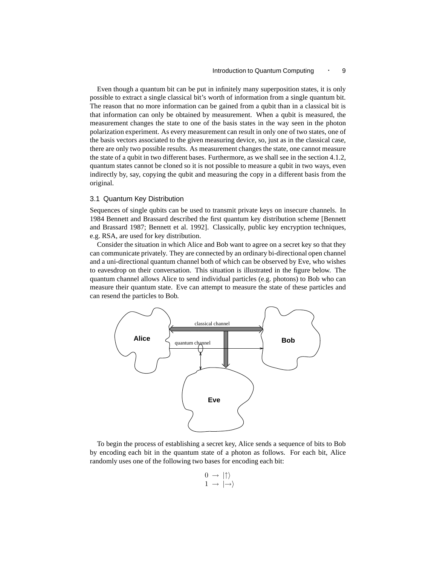#### Introduction to Quantum Computing  $\cdot$  9

Even though a quantum bit can be put in infinitely many superposition states, it is only possible to extract a single classical bit's worth of information from a single quantum bit. The reason that no more information can be gained from a qubit than in a classical bit is that information can only be obtained by measurement. When a qubit is measured, the measurement changes the state to one of the basis states in the way seen in the photon polarization experiment. As every measurement can result in only one of two states, one of the basis vectors associated to the given measuring device, so, just as in the classical case, there are only two possible results. As measurement changes the state, one cannot measure the state of a qubit in two different bases. Furthermore, as we shall see in the section 4.1.2, quantum states cannot be cloned so it is not possible to measure a qubit in two ways, even indirectly by, say, copying the qubit and measuring the copy in a different basis from the original.

# 3.1 Quantum Key Distribution

Sequences of single qubits can be used to transmit private keys on insecure channels. In 1984 Bennett and Brassard described the first quantum key distribution scheme [Bennett and Brassard 1987; Bennett et al. 1992]. Classically, public key encryption techniques, e.g. RSA, are used for key distribution.

Consider the situation in which Alice and Bob want to agree on a secret key so that they can communicate privately. They are connected by an ordinary bi-directional open channel and a uni-directional quantum channel both of which can be observed by Eve, who wishes to eavesdrop on their conversation. This situation is illustrated in the figure below. The quantum channel allows Alice to send individual particles (e.g. photons) to Bob who can measure their quantum state. Eve can attempt to measure the state of these particles and can resend the particles to Bob.



To begin the process of establishing a secret key, Alice sends a sequence of bits to Bob by encoding each bit in the quantum state of a photon as follows. For each bit, Alice randomly uses one of the following two bases for encoding each bit:

$$
\begin{array}{c} 0 \to | \uparrow \rangle \\ 1 \to | \to \rangle \end{array}
$$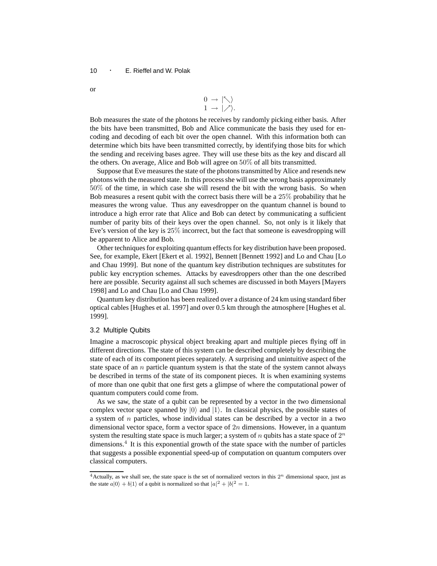$$
\begin{array}{c} 0 \to \mid \nwarrow \rangle \\ 1 \to \mid \nearrow \rangle. \end{array}
$$

Bob measures the state of the photons he receives by randomly picking either basis. After the bits have been transmitted, Bob and Alice communicate the basis they used for encoding and decoding of each bit over the open channel. With this information both can determine which bits have been transmitted correctly, by identifying those bits for which the sending and receiving bases agree. They will use these bits as the key and discard all the others. On average, Alice and Bob will agree on 50% of all bits transmitted.

Suppose that Eve measures the state of the photons transmitted by Alice and resends new photons with the measured state. In this process she will use the wrong basis approximately 50% of the time, in which case she will resend the bit with the wrong basis. So when Bob measures a resent qubit with the correct basis there will be a 25% probability that he measures the wrong value. Thus any eavesdropper on the quantum channel is bound to introduce a high error rate that Alice and Bob can detect by communicating a sufficient number of parity bits of their keys over the open channel. So, not only is it likely that Eve's version of the key is 25% incorrect, but the fact that someone is eavesdropping will be apparent to Alice and Bob.

Other techniques for exploiting quantum effects for key distribution have been proposed. See, for example, Ekert [Ekert et al. 1992], Bennett [Bennett 1992] and Lo and Chau [Lo and Chau 1999]. But none of the quantum key distribution techniques are substitutes for public key encryption schemes. Attacks by eavesdroppers other than the one described here are possible. Security against all such schemes are discussed in both Mayers [Mayers 1998] and Lo and Chau [Lo and Chau 1999].

Quantum key distribution has been realized over a distance of 24 km using standard fiber optical cables [Hughes et al. 1997] and over 0.5 km through the atmosphere [Hughes et al. 1999].

#### 3.2 Multiple Qubits

Imagine a macroscopic physical object breaking apart and multiple pieces flying off in different directions. The state of this system can be described completely by describing the state of each of its component pieces separately. A surprising and unintuitive aspect of the state space of an  $n$  particle quantum system is that the state of the system cannot always be described in terms of the state of its component pieces. It is when examining systems of more than one qubit that one first gets a glimpse of where the computational power of quantum computers could come from.

As we saw, the state of a qubit can be represented by a vector in the two dimensional complex vector space spanned by  $|0\rangle$  and  $|1\rangle$ . In classical physics, the possible states of a system of  $n$  particles, whose individual states can be described by a vector in a two dimensional vector space, form a vector space of  $2n$  dimensions. However, in a quantum system the resulting state space is much larger; a system of  $n$  qubits has a state space of  $2^n$ dimensions.<sup>4</sup> It is this exponential growth of the state space with the number of particles that suggests a possible exponential speed-up of computation on quantum computers over classical computers.

or

<sup>&</sup>lt;sup>4</sup> Actually, as we shall see, the state space is the set of normalized vectors in this  $2^n$  dimensional space, just as the state  $a|0\rangle + b|1\rangle$  of a qubit is normalized so that  $|a|^2 + |b|^2 = 1$ .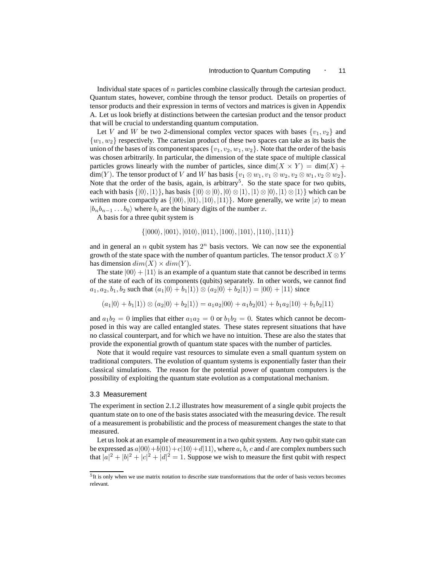Individual state spaces of n particles combine classically through the cartesian product. Quantum states, however, combine through the tensor product. Details on properties of tensor products and their expression in terms of vectors and matrices is given in Appendix A. Let us look briefly at distinctions between the cartesian product and the tensor product that will be crucial to understanding quantum computation.

Let V and W be two 2-dimensional complex vector spaces with bases  $\{v_1, v_2\}$  and  $\{w_1, w_2\}$  respectively. The cartesian product of these two spaces can take as its basis the union of the bases of its component spaces  $\{v_1, v_2, w_1, w_2\}$ . Note that the order of the basis was chosen arbitrarily. In particular, the dimension of the state space of multiple classical particles grows linearly with the number of particles, since dim(X  $\times$  Y) = dim(X) + dim(Y). The tensor product of V and W has basis  $\{v_1 \otimes w_1, v_1 \otimes w_2, v_2 \otimes w_1, v_2 \otimes w_2\}$ . Note that the order of the basis, again, is arbitrary<sup>5</sup>. So the state space for two qubits, each with basis  $\{|0\rangle, |1\rangle\}$ , has basis  $\{|0\rangle \otimes |0\rangle, |0\rangle \otimes |1\rangle, |1\rangle \otimes |0\rangle, |1\rangle \otimes |1\rangle\}$  which can be written more compactly as  $\{|00\rangle, |01\rangle, |10\rangle, |11\rangle\}$ . More generally, we write  $|x\rangle$  to mean  $|b_nb_{n-1} \dots b_0\rangle$  where  $b_i$  are the binary digits of the number x.

A basis for a three qubit system is

# $\{|000\rangle, |001\rangle, |010\rangle, |011\rangle, |100\rangle, |101\rangle, |110\rangle, |111\rangle\}$

and in general an  $n$  qubit system has  $2^n$  basis vectors. We can now see the exponential growth of the state space with the number of quantum particles. The tensor product  $X \otimes Y$ has dimension  $dim(X) \times dim(Y)$ .

The state  $|00\rangle + |11\rangle$  is an example of a quantum state that cannot be described in terms of the state of each of its components (qubits) separately. In other words, we cannot find  $a_1, a_2, b_1, b_2$  such that  $(a_1|0\rangle + b_1|1\rangle) \otimes (a_2|0\rangle + b_2|1\rangle) = |00\rangle + |11\rangle$  since

$$
(a_1|0\rangle + b_1|1\rangle) \otimes (a_2|0\rangle + b_2|1\rangle) = a_1a_2|00\rangle + a_1b_2|01\rangle + b_1a_2|10\rangle + b_1b_2|11\rangle
$$

and  $a_1b_2 = 0$  implies that either  $a_1a_2 = 0$  or  $b_1b_2 = 0$ . States which cannot be decomposed in this way are called entangled states. These states represent situations that have no classical counterpart, and for which we have no intuition. These are also the states that provide the exponential growth of quantum state spaces with the number of particles.

Note that it would require vast resources to simulate even a small quantum system on traditional computers. The evolution of quantum systems is exponentially faster than their classical simulations. The reason for the potential power of quantum computers is the possibility of exploiting the quantum state evolution as a computational mechanism.

#### 3.3 Measurement

The experiment in section 2.1.2 illustrates how measurement of a single qubit projects the quantum state on to one of the basis states associated with the measuring device. The result of a measurement is probabilistic and the process of measurement changes the state to that measured.

Let us look at an example of measurement in a two qubit system. Any two qubit state can be expressed as  $a|00\rangle+b|01\rangle+c|10\rangle+d|11\rangle$ , where a, b, c and d are complex numbers such that  $|a|^2 + |b|^2 + |c|^2 + |d|^2 = 1$ . Suppose we wish to measure the first qubit with respect

<sup>&</sup>lt;sup>5</sup>It is only when we use matrix notation to describe state transformations that the order of basis vectors becomes relevant.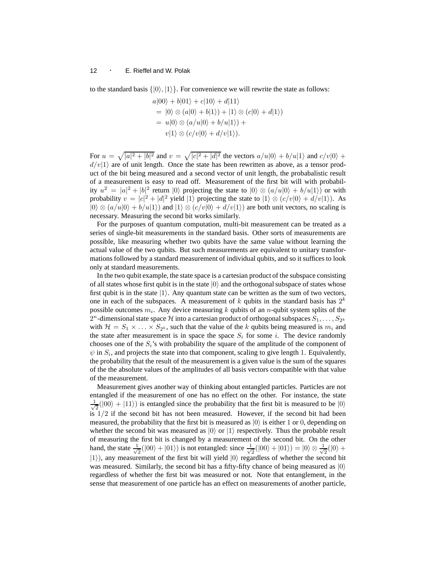to the standard basis  $\{|0\rangle, |1\rangle\}$ . For convenience we will rewrite the state as follows:

$$
a|00\rangle + b|01\rangle + c|10\rangle + d|11\rangle
$$
  
= |0\rangle \otimes (a|0\rangle + b|1\rangle) + |1\rangle \otimes (c|0\rangle + d|1\rangle)  
= u|0\rangle \otimes (a/u|0\rangle + b/u|1\rangle) +  
v|1\rangle \otimes (c/v|0\rangle + d/v|1\rangle).

For  $u = \sqrt{|a|^2 + |b|^2}$  and  $v = \sqrt{|c|^2 + |d|^2}$  the vectors  $a/u|0\rangle + b/u|1\rangle$  and  $c/v|0\rangle +$  $d/v|1\rangle$  are of unit length. Once the state has been rewritten as above, as a tensor product of the bit being measured and a second vector of unit length, the probabalistic result of a measurement is easy to read off. Measurement of the first bit will with probability  $u^2 = |a|^2 + |b|^2$  return  $|0\rangle$  projecting the state to  $|0\rangle \otimes (a/u|0\rangle + b/u|1\rangle)$  or with probability  $v = |c|^2 + |d|^2$  yield  $|1\rangle$  projecting the state to  $|1\rangle \otimes (c/v|0\rangle + d/v|1\rangle)$ . As  $|0\rangle \otimes (a/u|0\rangle + b/u|1\rangle)$  and  $|1\rangle \otimes (c/v|0\rangle + d/v|1\rangle)$  are both unit vectors, no scaling is necessary. Measuring the second bit works similarly.

For the purposes of quantum computation, multi-bit measurement can be treated as a series of single-bit measurements in the standard basis. Other sorts of measurements are possible, like measuring whether two qubits have the same value without learning the actual value of the two qubits. But such measurements are equivalent to unitary transformations followed by a standard measurement of individual qubits, and so it suffices to look only at standard measurements.

In the two qubit example, the state space is a cartesian product of the subspace consisting of all states whose first qubit is in the state  $|0\rangle$  and the orthogonal subspace of states whose first qubit is in the state  $|1\rangle$ . Any quantum state can be written as the sum of two vectors, one in each of the subspaces. A measurement of k qubits in the standard basis has  $2^k$ possible outcomes  $m_i$ . Any device measuring k qubits of an n-qubit system splits of the  $2^n$ -dimensional state space  $\mathcal H$  into a cartesian product of orthogonal subspaces  $S_1, \ldots, S_{2^k}$ with  $\mathcal{H} = S_1 \times \ldots \times S_{2^k}$ , such that the value of the k qubits being measured is  $m_i$  and the state after measurement is in space the space  $S_i$  for some i. The device randomly chooses one of the  $S_i$ 's with probability the square of the amplitude of the component of  $\psi$  in  $S_i$ , and projects the state into that component, scaling to give length 1. Equivalently, the probability that the result of the measurement is a given value is the sum of the squares of the the absolute values of the amplitudes of all basis vectors compatible with that value of the measurement.

Measurement gives another way of thinking about entangled particles. Particles are not entangled if the measurement of one has no effect on the other. For instance, the state √ 1  $\frac{1}{2}(|00\rangle + |11\rangle)$  is entangled since the probability that the first bit is measured to be  $|0\rangle$ is 1/2 if the second bit has not been measured. However, if the second bit had been measured, the probability that the first bit is measured as  $|0\rangle$  is either 1 or 0, depending on whether the second bit was measured as  $|0\rangle$  or  $|1\rangle$  respectively. Thus the probable result of measuring the first bit is changed by a measurement of the second bit. On the other hand, the state  $\frac{1}{\sqrt{2}}$  $\frac{1}{2}(|00\rangle + |01\rangle)$  is not entangled: since  $\frac{1}{\sqrt{2}}$  $\frac{1}{2}(|00\rangle + |01\rangle) = |0\rangle \otimes \frac{1}{\sqrt{2}}$  $\frac{1}{2}(|0\rangle +$  $|1\rangle$ ), any measurement of the first bit will yield  $|0\rangle$  regardless of whether the second bit was measured. Similarly, the second bit has a fifty-fifty chance of being measured as  $|0\rangle$ regardless of whether the first bit was measured or not. Note that entanglement, in the sense that measurement of one particle has an effect on measurements of another particle,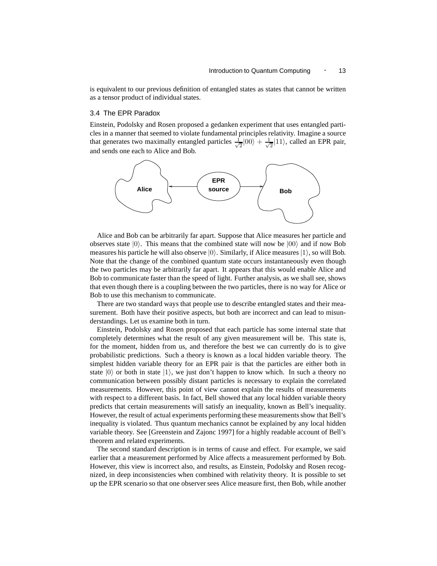is equivalent to our previous definition of entangled states as states that cannot be written as a tensor product of individual states.

# 3.4 The EPR Paradox

Einstein, Podolsky and Rosen proposed a gedanken experiment that uses entangled particles in a manner that seemed to violate fundamental principles relativity. Imagine a source that generates two maximally entangled particles  $\frac{1}{\sqrt{2}}$  $\frac{1}{2}|00\rangle + \frac{1}{\sqrt{2}}$  $\frac{1}{2}$ |11\, called an EPR pair, and sends one each to Alice and Bob.



Alice and Bob can be arbitrarily far apart. Suppose that Alice measures her particle and observes state  $|0\rangle$ . This means that the combined state will now be  $|00\rangle$  and if now Bob measures his particle he will also observe  $|0\rangle$ . Similarly, if Alice measures  $|1\rangle$ , so will Bob. Note that the change of the combined quantum state occurs instantaneously even though the two particles may be arbitrarily far apart. It appears that this would enable Alice and Bob to communicate faster than the speed of light. Further analysis, as we shall see, shows that even though there is a coupling between the two particles, there is no way for Alice or Bob to use this mechanism to communicate.

There are two standard ways that people use to describe entangled states and their measurement. Both have their positive aspects, but both are incorrect and can lead to misunderstandings. Let us examine both in turn.

Einstein, Podolsky and Rosen proposed that each particle has some internal state that completely determines what the result of any given measurement will be. This state is, for the moment, hidden from us, and therefore the best we can currently do is to give probabilistic predictions. Such a theory is known as a local hidden variable theory. The simplest hidden variable theory for an EPR pair is that the particles are either both in state  $|0\rangle$  or both in state  $|1\rangle$ , we just don't happen to know which. In such a theory no communication between possibly distant particles is necessary to explain the correlated measurements. However, this point of view cannot explain the results of measurements with respect to a different basis. In fact, Bell showed that any local hidden variable theory predicts that certain measurements will satisfy an inequality, known as Bell's inequality. However, the result of actual experiments performing these measurements show that Bell's inequality is violated. Thus quantum mechanics cannot be explained by any local hidden variable theory. See [Greenstein and Zajonc 1997] for a highly readable account of Bell's theorem and related experiments.

The second standard description is in terms of cause and effect. For example, we said earlier that a measurement performed by Alice affects a measurement performed by Bob. However, this view is incorrect also, and results, as Einstein, Podolsky and Rosen recognized, in deep inconsistencies when combined with relativity theory. It is possible to set up the EPR scenario so that one observer sees Alice measure first, then Bob, while another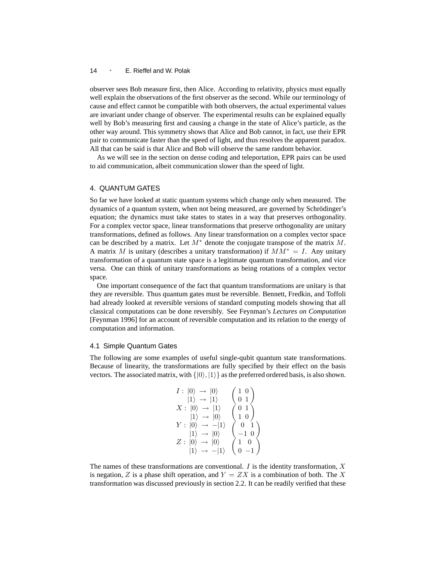observer sees Bob measure first, then Alice. According to relativity, physics must equally well explain the observations of the first observer as the second. While our terminology of cause and effect cannot be compatible with both observers, the actual experimental values are invariant under change of observer. The experimental results can be explained equally well by Bob's measuring first and causing a change in the state of Alice's particle, as the other way around. This symmetry shows that Alice and Bob cannot, in fact, use their EPR pair to communicate faster than the speed of light, and thus resolves the apparent paradox. All that can be said is that Alice and Bob will observe the same random behavior.

As we will see in the section on dense coding and teleportation, EPR pairs can be used to aid communication, albeit communication slower than the speed of light.

## 4. QUANTUM GATES

So far we have looked at static quantum systems which change only when measured. The dynamics of a quantum system, when not being measured, are governed by Schrödinger's equation; the dynamics must take states to states in a way that preserves orthogonality. For a complex vector space, linear transformations that preserve orthogonality are unitary transformations, defined as follows. Any linear transformation on a complex vector space can be described by a matrix. Let  $M^*$  denote the conjugate transpose of the matrix  $M$ . A matrix M is unitary (describes a unitary transformation) if  $MM^* = I$ . Any unitary transformation of a quantum state space is a legitimate quantum transformation, and vice versa. One can think of unitary transformations as being rotations of a complex vector space.

One important consequence of the fact that quantum transformations are unitary is that they are reversible. Thus quantum gates must be reversible. Bennett, Fredkin, and Toffoli had already looked at reversible versions of standard computing models showing that all classical computations can be done reversibly. See Feynman's *Lectures on Computation* [Feynman 1996] for an account of reversible computation and its relation to the energy of computation and information.

#### 4.1 Simple Quantum Gates

The following are some examples of useful single-qubit quantum state transformations. Because of linearity, the transformations are fully specified by their effect on the basis vectors. The associated matrix, with  $\{|0\rangle, |1\rangle\}$  as the preferred ordered basis, is also shown.

$$
I: |0\rangle \rightarrow |0\rangle \qquad (1 \ 0)
$$
  
\n
$$
|1\rangle \rightarrow |1\rangle \qquad (0 \ 1)
$$
  
\n
$$
X: |0\rangle \rightarrow |1\rangle \qquad (0 \ 1)
$$
  
\n
$$
|1\rangle \rightarrow |0\rangle \qquad (1 \ 0)
$$
  
\n
$$
Y: |0\rangle \rightarrow -|1\rangle \qquad (0 \ 1)
$$
  
\n
$$
|1\rangle \rightarrow |0\rangle \qquad (-1 \ 0)
$$
  
\n
$$
Z: |0\rangle \rightarrow |0\rangle \qquad (1 \ 0)
$$
  
\n
$$
|1\rangle \rightarrow -|1\rangle \qquad (0 \ -1)
$$

The names of these transformations are conventional.  $I$  is the identity transformation,  $X$ is negation, Z is a phase shift operation, and  $Y = ZX$  is a combination of both. The X transformation was discussed previously in section 2.2. It can be readily verified that these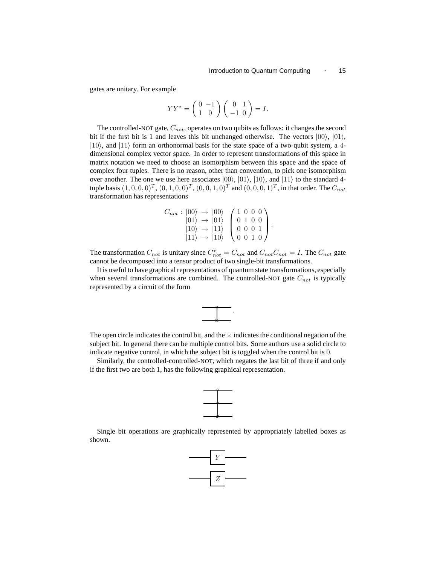gates are unitary. For example

$$
YY^* = \begin{pmatrix} 0 & -1 \\ 1 & 0 \end{pmatrix} \begin{pmatrix} 0 & 1 \\ -1 & 0 \end{pmatrix} = I.
$$

The controlled-NOT gate,  $C_{not}$ , operates on two qubits as follows: it changes the second bit if the first bit is 1 and leaves this bit unchanged otherwise. The vectors  $|00\rangle$ ,  $|01\rangle$ ,  $|10\rangle$ , and  $|11\rangle$  form an orthonormal basis for the state space of a two-qubit system, a 4dimensional complex vector space. In order to represent transformations of this space in matrix notation we need to choose an isomorphism between this space and the space of complex four tuples. There is no reason, other than convention, to pick one isomorphism over another. The one we use here associates  $|00\rangle$ ,  $|01\rangle$ ,  $|10\rangle$ , and  $|11\rangle$  to the standard 4tuple basis  $(1, 0, 0, 0)^T$ ,  $(0, 1, 0, 0)^T$ ,  $(0, 0, 1, 0)^T$  and  $(0, 0, 0, 1)^T$ , in that order. The  $C_{not}$ transformation has representations

$$
C_{not}: |00\rangle \rightarrow |00\rangle \{1 \ 0 \ 0 \ 0 \ 0 \} \{1 \ 0 \ 0 \ 0 \ 0 \ 0 \ 1 \ 0 \} \{10\rangle \rightarrow |11\rangle \{10\rangle \rightarrow |10\rangle} \{1 \ 0 \ 0 \ 0 \ 1 \ 0 \}.
$$

The transformation  $C_{not}$  is unitary since  $C_{not}^* = C_{not}$  and  $C_{not}C_{not} = I$ . The  $C_{not}$  gate cannot be decomposed into a tensor product of two single-bit transformations.

It is useful to have graphical representations of quantum state transformations, especially when several transformations are combined. The controlled-NOT gate  $C_{not}$  is typically represented by a circuit of the form



The open circle indicates the control bit, and the  $\times$  indicates the conditional negation of the subject bit. In general there can be multiple control bits. Some authors use a solid circle to indicate negative control, in which the subject bit is toggled when the control bit is 0.

Similarly, the controlled-controlled-NOT, which negates the last bit of three if and only if the first two are both 1, has the following graphical representation.



Single bit operations are graphically represented by appropriately labelled boxes as shown.

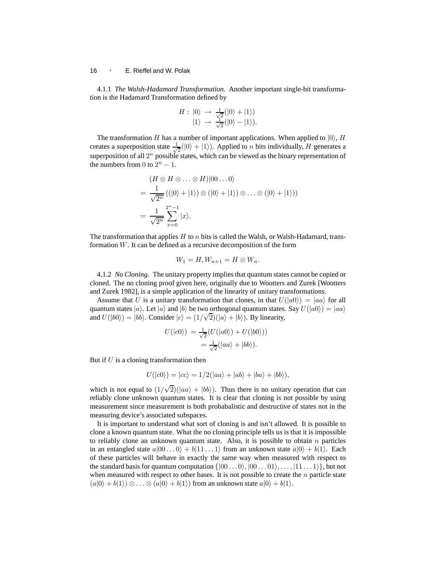4.1.1 *The Walsh-Hadamard Transformation.* Another important single-bit transformation is the Hadamard Transformation defined by

$$
H: |0\rangle \rightarrow \frac{1}{\sqrt{2}}(|0\rangle + |1\rangle)
$$
  

$$
|1\rangle \rightarrow \frac{1}{\sqrt{2}}(|0\rangle - |1\rangle).
$$

The transformation H has a number of important applications. When applied to  $|0\rangle$ , H creates a superposition state  $\frac{1}{\sqrt{2}}$  $\frac{1}{2}(|0\rangle + |1\rangle)$ . Applied to *n* bits individually, *H* generates a superposition of all  $2^n$  possible states, which can be viewed as the binary representation of the numbers from 0 to  $2^n - 1$ .

$$
(H \otimes H \otimes \ldots \otimes H)|00 \ldots 0\rangle
$$
  
=  $\frac{1}{\sqrt{2^n}} ((|0\rangle + |1\rangle) \otimes (|0\rangle + |1\rangle) \otimes \ldots \otimes (|0\rangle + |1\rangle))$   
=  $\frac{1}{\sqrt{2^n}} \sum_{x=0}^{2^n - 1} |x\rangle.$ 

The transformation that applies  $H$  to  $n$  bits is called the Walsh, or Walsh-Hadamard, transformation W. It can be defined as a recursive decomposition of the form

$$
W_1 = H, W_{n+1} = H \otimes W_n.
$$

4.1.2 *No Cloning.* The unitary property implies that quantum states cannot be copied or cloned. The no cloning proof given here, originally due to Wootters and Zurek [Wootters and Zurek 1982], is a simple application of the linearity of unitary transformations.

Assume that U is a unitary transformation that clones, in that  $U(|a0\rangle) = |aa\rangle$  for all quantum states  $|a\rangle$ . Let  $|a\rangle$  and  $|b\rangle$  be two orthogonal quantum states. Say  $U(|a0\rangle) = |aa\rangle$ and  $U(|b0\rangle) = |bb\rangle$ . Consider  $|c\rangle = (1/\sqrt{2})(|a\rangle + |b\rangle)$ . By linearity,

$$
U(|c0\rangle) = \frac{1}{\sqrt{2}} (U(|a0\rangle) + U(|b0\rangle))
$$
  
= 
$$
\frac{1}{\sqrt{2}} (|aa\rangle + |bb\rangle).
$$

But if  $U$  is a cloning transformation then

$$
U(|c0\rangle) = |cc\rangle = 1/2(|aa\rangle + |ab\rangle + |ba\rangle + |bb\rangle),
$$

which is not equal to  $(1/\sqrt{2})(|aa\rangle + |bb\rangle)$ . Thus there is no unitary operation that can reliably clone unknown quantum states. It is clear that cloning is not possible by using measurement since measurement is both probabalistic and destructive of states not in the measuring device's associated subspaces.

It is important to understand what sort of cloning is and isn't allowed. It is possible to clone a known quantum state. What the no cloning principle tells us is that it is impossible to reliably clone an unknown quantum state. Also, it is possible to obtain  $n$  particles in an entangled state  $a|00...0\rangle + b|11...1\rangle$  from an unknown state  $a|0\rangle + b|1\rangle$ . Each of these particles will behave in exactly the same way when measured with respect to the standard basis for quantum computation  $\{|00...0\rangle, |00...01\rangle, ..., |11...1\rangle\}$ , but not when measured with respect to other bases. It is not possible to create the  $n$  particle state  $(a|0\rangle + b|1\rangle) \otimes \ldots \otimes (a|0\rangle + b|1\rangle)$  from an unknown state  $a|0\rangle + b|1\rangle$ .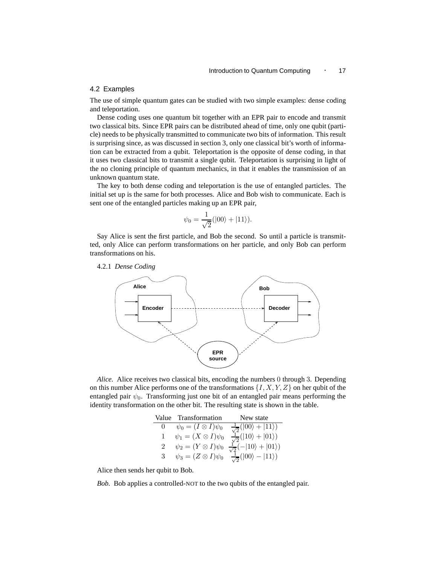## 4.2 Examples

The use of simple quantum gates can be studied with two simple examples: dense coding and teleportation.

Dense coding uses one quantum bit together with an EPR pair to encode and transmit two classical bits. Since EPR pairs can be distributed ahead of time, only one qubit (particle) needs to be physically transmitted to communicate two bits of information. This result is surprising since, as was discussed in section 3, only one classical bit's worth of information can be extracted from a qubit. Teleportation is the opposite of dense coding, in that it uses two classical bits to transmit a single qubit. Teleportation is surprising in light of the no cloning principle of quantum mechanics, in that it enables the transmission of an unknown quantum state.

The key to both dense coding and teleportation is the use of entangled particles. The initial set up is the same for both processes. Alice and Bob wish to communicate. Each is sent one of the entangled particles making up an EPR pair,

$$
\psi_0 = \frac{1}{\sqrt{2}}(|00\rangle + |11\rangle).
$$

Say Alice is sent the first particle, and Bob the second. So until a particle is transmitted, only Alice can perform transformations on her particle, and only Bob can perform transformations on his.

4.2.1 *Dense Coding*



*Alice.* Alice receives two classical bits, encoding the numbers 0 through 3. Depending on this number Alice performs one of the transformations  $\{I, X, Y, Z\}$  on her qubit of the entangled pair  $\psi_0$ . Transforming just one bit of an entangled pair means performing the identity transformation on the other bit. The resulting state is shown in the table.

| Value    | Transformation                 | New state                                                                                                                                                                |
|----------|--------------------------------|--------------------------------------------------------------------------------------------------------------------------------------------------------------------------|
| $^{(1)}$ | $\psi_0 = (I \otimes I)\psi_0$ |                                                                                                                                                                          |
|          | $\psi_1 = (X \otimes I)\psi_0$ |                                                                                                                                                                          |
| 2        | $\psi_2 = (Y \otimes I)\psi_0$ | $\frac{\frac{1}{\sqrt{2}}( 00\rangle+ 11\rangle)}{\frac{1}{\sqrt{2}}( 10\rangle+ 01\rangle)}$<br>$\frac{\frac{1}{\sqrt{2}}(- 10\rangle+ 01\rangle)}{\frac{1}{\sqrt{2}}}$ |
| 3        | $\psi_3 = (Z \otimes I)\psi_0$ | $\frac{1}{\sqrt{2}}( 00\rangle -  11\rangle)$                                                                                                                            |

Alice then sends her qubit to Bob.

*Bob.* Bob applies a controlled-NOT to the two qubits of the entangled pair.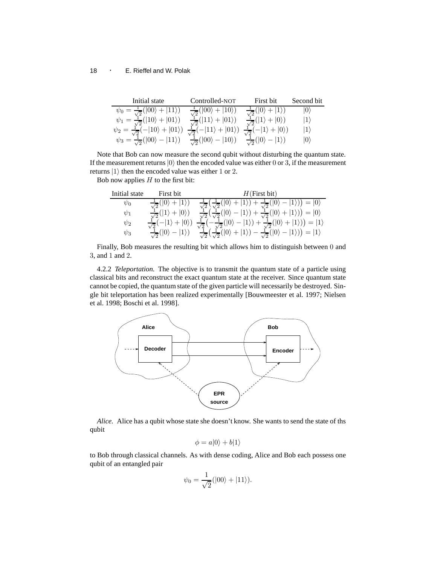| Initial state                                           | Controlled-NOT                                           | First bit                                   | Second bit  |
|---------------------------------------------------------|----------------------------------------------------------|---------------------------------------------|-------------|
| $\psi_0 = \frac{1}{\sqrt{2}}( 00\rangle +  11\rangle)$  | $\frac{1}{\sqrt{2}}( 00\rangle + \overline{ 10\rangle})$ | $\frac{1}{\sqrt{2}}( 0\rangle +  1\rangle)$ |             |
| $\psi_1 = \frac{1}{\sqrt{2}}( 10\rangle +  01\rangle)$  | $\frac{1}{\sqrt{2}}( 11\rangle+ 01\rangle)$              | $\frac{1}{\sqrt{2}}( 1\rangle+ 0\rangle)$   | $ 1\rangle$ |
| $\psi_2 = \frac{1}{\sqrt{2}}(- 10\rangle +  01\rangle)$ | $\frac{1}{\sqrt{2}}(- 11\rangle+ 01\rangle)$             | $\frac{1}{\sqrt{2}}(- 1\rangle+ 0\rangle)$  | $ 1\rangle$ |
| $\psi_3 = \frac{1}{\sqrt{2}}( 00\rangle -  11\rangle)$  | $\frac{1}{\sqrt{2}}( 00\rangle -  10\rangle)$            | $\frac{1}{\sqrt{2}}( 0\rangle -  1\rangle)$ | $ 0\rangle$ |

Note that Bob can now measure the second qubit without disturbing the quantum state. If the measurement returns  $|0\rangle$  then the encoded value was either 0 or 3, if the measurement returns  $|1\rangle$  then the encoded value was either 1 or 2.

Bob now applies  $H$  to the first bit:

| Initial state | First bit | $H$ (First bit)                                                                                                                                           |
|---------------|-----------|-----------------------------------------------------------------------------------------------------------------------------------------------------------|
| $\psi_0$      | $+$ (1))  | $\frac{1}{\sqrt{2}}\left(\frac{1}{\sqrt{2}}( 0\rangle+ 1\rangle)+\frac{1}{\sqrt{2}}( 0\rangle- 1\rangle)\right)= 0\rangle$                                |
| $\psi_1$      |           | $\frac{1}{\sqrt{2}}( 0\rangle -  1\rangle) + \frac{1}{\sqrt{2}}( 0\rangle +  1\rangle) =  0\rangle$                                                       |
| $\psi_2$      |           | $\frac{1}{\sqrt{2}}( 0\rangle -  1\rangle) + \frac{1}{\sqrt{2}}( 0\rangle +  1\rangle) =  1\rangle$                                                       |
| $\psi_3$      |           | $\frac{1}{\sqrt{2}}\left(\frac{1}{\sqrt{2}}\left( 0\rangle+ 1\rangle\right)-\right.$<br>$\lambda - \frac{1}{\sqrt{2}}( 0\rangle -  1\rangle) =  1\rangle$ |

Finally, Bob measures the resulting bit which allows him to distinguish between 0 and 3, and 1 and 2.

4.2.2 *Teleportation.* The objective is to transmit the quantum state of a particle using classical bits and reconstruct the exact quantum state at the receiver. Since quantum state cannot be copied, the quantum state of the given particle will necessarily be destroyed. Single bit teleportation has been realized experimentally [Bouwmeester et al. 1997; Nielsen et al. 1998; Boschi et al. 1998].



*Alice.* Alice has a qubit whose state she doesn't know. She wants to send the state of ths qubit

$$
\phi = a|0\rangle + b|1\rangle
$$

to Bob through classical channels. As with dense coding, Alice and Bob each possess one qubit of an entangled pair

$$
\psi_0 = \frac{1}{\sqrt{2}}(|00\rangle + |11\rangle).
$$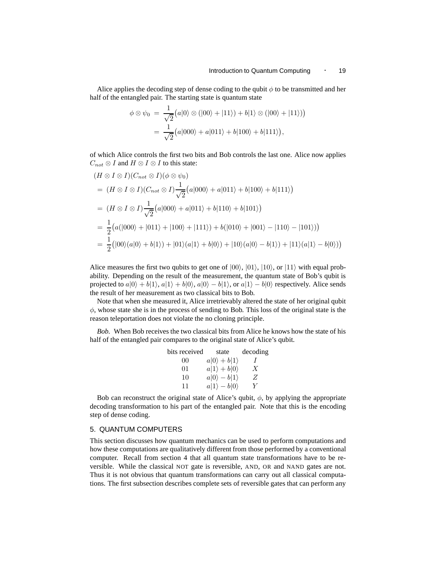Alice applies the decoding step of dense coding to the qubit  $\phi$  to be transmitted and her half of the entangled pair. The starting state is quantum state

$$
\phi \otimes \psi_0 = \frac{1}{\sqrt{2}} (a|0\rangle \otimes (|00\rangle + |11\rangle) + b|1\rangle \otimes (|00\rangle + |11\rangle))
$$
  
= 
$$
\frac{1}{\sqrt{2}} (a|000\rangle + a|011\rangle + b|100\rangle + b|111\rangle),
$$

of which Alice controls the first two bits and Bob controls the last one. Alice now applies  $C_{not} \otimes I$  and  $H \otimes I \otimes I$  to this state:

$$
(H \otimes I \otimes I)(C_{not} \otimes I)(\phi \otimes \psi_0)
$$
  
=  $(H \otimes I \otimes I)(C_{not} \otimes I)\frac{1}{\sqrt{2}}(a|000\rangle + a|011\rangle + b|100\rangle + b|111\rangle)$   
=  $(H \otimes I \otimes I)\frac{1}{\sqrt{2}}(a|000\rangle + a|011\rangle + b|110\rangle + b|101\rangle)$   
=  $\frac{1}{2}(a(|000\rangle + |011\rangle + |100\rangle + |111\rangle) + b(|010\rangle + |001\rangle - |110\rangle - |101\rangle))$   
=  $\frac{1}{2}(|00\rangle(a|0\rangle + b|1\rangle) + |01\rangle(a|1\rangle + b|0\rangle) + |10\rangle(a|0\rangle - b|1\rangle) + |11\rangle(a|1\rangle - b|0\rangle))$ 

Alice measures the first two qubits to get one of  $|00\rangle$ ,  $|01\rangle$ ,  $|10\rangle$ , or  $|11\rangle$  with equal probability. Depending on the result of the measurement, the quantum state of Bob's qubit is projected to  $a|0\rangle + b|1\rangle$ ,  $a|1\rangle + b|0\rangle$ ,  $a|0\rangle - b|1\rangle$ , or  $a|1\rangle - b|0\rangle$  respectively. Alice sends the result of her measurement as two classical bits to Bob.

Note that when she measured it, Alice irretrievably altered the state of her original qubit  $\phi$ , whose state she is in the process of sending to Bob. This loss of the original state is the reason teleportation does not violate the no cloning principle.

*Bob.* When Bob receives the two classical bits from Alice he knows how the state of his half of the entangled pair compares to the original state of Alice's qubit.

| bits received | state                     | decoding |
|---------------|---------------------------|----------|
| 00            | $a 0\rangle + b 1\rangle$ | $\prime$ |
| 01            | $a 1\rangle + b 0\rangle$ | X        |
| 10            | $a 0\rangle - b 1\rangle$ | Z        |
| 11            | $a 1\rangle - b 0\rangle$ | Y        |
|               |                           |          |

Bob can reconstruct the original state of Alice's qubit,  $\phi$ , by applying the appropriate decoding transformation to his part of the entangled pair. Note that this is the encoding step of dense coding.

## 5. QUANTUM COMPUTERS

This section discusses how quantum mechanics can be used to perform computations and how these computations are qualitatively different from those performed by a conventional computer. Recall from section 4 that all quantum state transformations have to be reversible. While the classical NOT gate is reversible, AND, OR and NAND gates are not. Thus it is not obvious that quantum transformations can carry out all classical computations. The first subsection describes complete sets of reversible gates that can perform any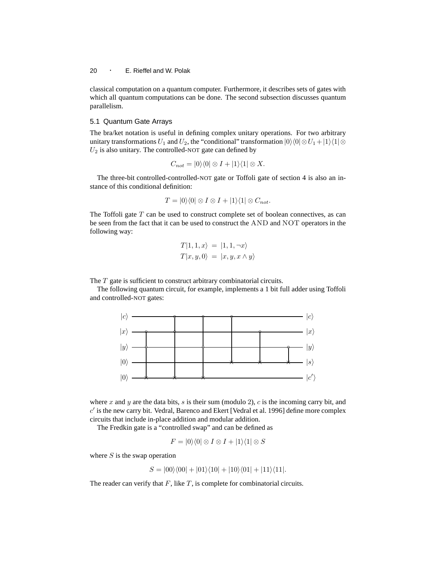classical computation on a quantum computer. Furthermore, it describes sets of gates with which all quantum computations can be done. The second subsection discusses quantum parallelism.

# 5.1 Quantum Gate Arrays

The bra/ket notation is useful in defining complex unitary operations. For two arbitrary unitary transformations  $U_1$  and  $U_2$ , the "conditional" transformation  $|0\rangle\langle0|\otimes U_1+|1\rangle\langle1|\otimes$  $U_2$  is also unitary. The controlled-NOT gate can defined by

$$
C_{not} = |0\rangle\langle 0| \otimes I + |1\rangle\langle 1| \otimes X.
$$

The three-bit controlled-controlled-NOT gate or Toffoli gate of section 4 is also an instance of this conditional definition:

$$
T = |0\rangle\langle 0| \otimes I \otimes I + |1\rangle\langle 1| \otimes C_{not}.
$$

The Toffoli gate  $T$  can be used to construct complete set of boolean connectives, as can be seen from the fact that it can be used to construct the AND and NOT operators in the following way:

$$
T|1, 1, x\rangle = |1, 1, \neg x\rangle
$$
  

$$
T|x, y, 0\rangle = |x, y, x \land y\rangle
$$

The T gate is sufficient to construct arbitrary combinatorial circuits.

The following quantum circuit, for example, implements a 1 bit full adder using Toffoli and controlled-NOT gates:



where x and y are the data bits, s is their sum (modulo 2), c is the incoming carry bit, and  $c'$  is the new carry bit. Vedral, Barenco and Ekert [Vedral et al. 1996] define more complex circuits that include in-place addition and modular addition.

The Fredkin gate is a "controlled swap" and can be defined as

$$
F = |0\rangle\langle 0| \otimes I \otimes I + |1\rangle\langle 1| \otimes S
$$

where  $S$  is the swap operation

$$
S = |00\rangle\langle00| + |01\rangle\langle10| + |10\rangle\langle01| + |11\rangle\langle11|.
$$

The reader can verify that  $F$ , like  $T$ , is complete for combinatorial circuits.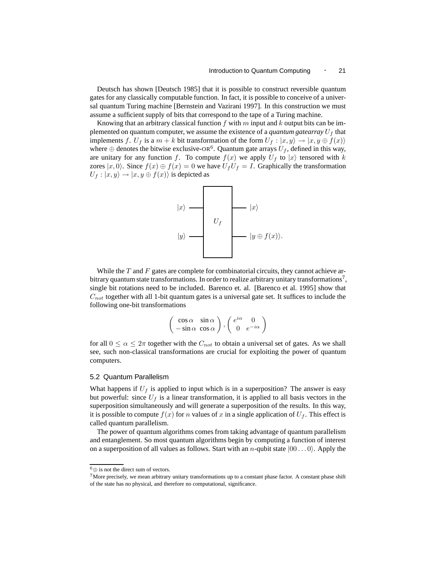Deutsch has shown [Deutsch 1985] that it is possible to construct reversible quantum gates for any classically computable function. In fact, it is possible to conceive of a universal quantum Turing machine [Bernstein and Vazirani 1997]. In this construction we must assume a sufficient supply of bits that correspond to the tape of a Turing machine.

Knowing that an arbitrary classical function  $f$  with  $m$  input and  $k$  output bits can be implemented on quantum computer, we assume the existence of a *quantum gatearray*  $U_f$  that implements f.  $U_f$  is a  $m + k$  bit transformation of the form  $U_f : |x, y\rangle \rightarrow |x, y \oplus f(x)\rangle$ where  $\oplus$  denotes the bitwise exclusive-OR<sup>6</sup>. Quantum gate arrays  $U_f$ , defined in this way, are unitary for any function f. To compute  $f(x)$  we apply  $U_f$  to  $|x\rangle$  tensored with k zores  $|x, 0\rangle$ . Since  $f(x) \oplus f(x) = 0$  we have  $U_f U_f = I$ . Graphically the transformation  $U_f$  :  $|x, y\rangle \rightarrow |x, y \oplus f(x)\rangle$  is depicted as

$$
|x\rangle \longrightarrow U_f
$$
  

$$
|y\rangle \longrightarrow U_f
$$
  

$$
|y\oplus f(x)\rangle.
$$

While the  $T$  and  $F$  gates are complete for combinatorial circuits, they cannot achieve arbitrary quantum state transformations. In order to realize arbitrary unitary transformations<sup>7</sup>, single bit rotations need to be included. Barenco et. al. [Barenco et al. 1995] show that  $C_{not}$  together with all 1-bit quantum gates is a universal gate set. It suffices to include the following one-bit transformations

$$
\left(\begin{array}{cc} \cos\alpha & \sin\alpha \\ -\sin\alpha & \cos\alpha \end{array}\right), \left(\begin{array}{cc} e^{i\alpha} & 0 \\ 0 & e^{-i\alpha} \end{array}\right)
$$

for all  $0 \le \alpha \le 2\pi$  together with the  $C_{not}$  to obtain a universal set of gates. As we shall see, such non-classical transformations are crucial for exploiting the power of quantum computers.

#### 5.2 Quantum Parallelism

What happens if  $U_f$  is applied to input which is in a superposition? The answer is easy but powerful: since  $U_f$  is a linear transformation, it is applied to all basis vectors in the superposition simultaneously and will generate a superposition of the results. In this way, it is possible to compute  $f(x)$  for n values of x in a single application of  $U_f$ . This effect is called quantum parallelism.

The power of quantum algorithms comes from taking advantage of quantum parallelism and entanglement. So most quantum algorithms begin by computing a function of interest on a superposition of all values as follows. Start with an n-qubit state  $|00...0\rangle$ . Apply the

 $6\oplus$  is not the direct sum of vectors.

<sup>7</sup>More precisely, we mean arbitrary unitary transformations up to a constant phase factor. A constant phase shift of the state has no physical, and therefore no computational, significance.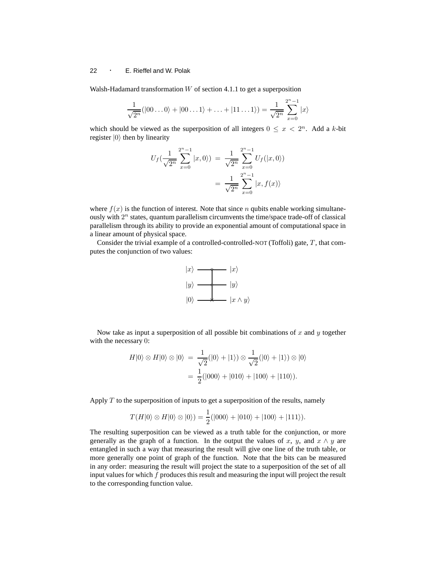Walsh-Hadamard transformation  $W$  of section 4.1.1 to get a superposition

$$
\frac{1}{\sqrt{2^n}}(|00\ldots0\rangle+|00\ldots1\rangle+\ldots+|11\ldots1\rangle)=\frac{1}{\sqrt{2^n}}\sum_{x=0}^{2^n-1}|x\rangle
$$

which should be viewed as the superposition of all integers  $0 \le x < 2^n$ . Add a k-bit register  $|0\rangle$  then by linearity

$$
U_f(\frac{1}{\sqrt{2^n}} \sum_{x=0}^{2^n - 1} |x, 0\rangle) = \frac{1}{\sqrt{2^n}} \sum_{x=0}^{2^n - 1} U_f(|x, 0\rangle)
$$

$$
= \frac{1}{\sqrt{2^n}} \sum_{x=0}^{2^n - 1} |x, f(x)\rangle
$$

where  $f(x)$  is the function of interest. Note that since n qubits enable working simultaneously with  $2^n$  states, quantum parallelism circumvents the time/space trade-off of classical parallelism through its ability to provide an exponential amount of computational space in a linear amount of physical space.

Consider the trivial example of a controlled-controlled-NOT (Toffoli) gate, T , that computes the conjunction of two values:



Now take as input a superposition of all possible bit combinations of x and y together with the necessary 0:

$$
H|0\rangle \otimes H|0\rangle \otimes |0\rangle = \frac{1}{\sqrt{2}}(|0\rangle + |1\rangle) \otimes \frac{1}{\sqrt{2}}(|0\rangle + |1\rangle) \otimes |0\rangle
$$

$$
= \frac{1}{2}(|000\rangle + |010\rangle + |100\rangle + |110\rangle).
$$

Apply  $T$  to the superposition of inputs to get a superposition of the results, namely

$$
T(H|0\rangle \otimes H|0\rangle \otimes |0\rangle) = \frac{1}{2}(|000\rangle + |010\rangle + |100\rangle + |111\rangle).
$$

The resulting superposition can be viewed as a truth table for the conjunction, or more generally as the graph of a function. In the output the values of x, y, and  $x \wedge y$  are entangled in such a way that measuring the result will give one line of the truth table, or more generally one point of graph of the function. Note that the bits can be measured in any order: measuring the result will project the state to a superposition of the set of all input values for which  $f$  produces this result and measuring the input will project the result to the corresponding function value.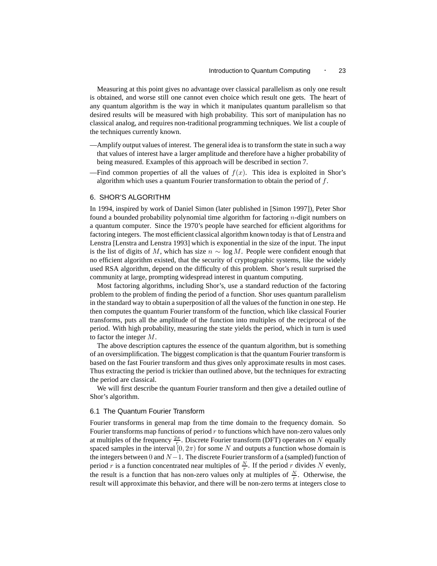Measuring at this point gives no advantage over classical parallelism as only one result is obtained, and worse still one cannot even choice which result one gets. The heart of any quantum algorithm is the way in which it manipulates quantum parallelism so that desired results will be measured with high probability. This sort of manipulation has no classical analog, and requires non-traditional programming techniques. We list a couple of the techniques currently known.

- —Amplify output values of interest. The general idea is to transform the state in such a way that values of interest have a larger amplitude and therefore have a higher probability of being measured. Examples of this approach will be described in section 7.
- -Find common properties of all the values of  $f(x)$ . This idea is exploited in Shor's algorithm which uses a quantum Fourier transformation to obtain the period of  $f$ .

#### 6. SHOR'S ALGORITHM

In 1994, inspired by work of Daniel Simon (later published in [Simon 1997]), Peter Shor found a bounded probability polynomial time algorithm for factoring n-digit numbers on a quantum computer. Since the 1970's people have searched for efficient algorithms for factoring integers. The most efficient classical algorithm known today is that of Lenstra and Lenstra [Lenstra and Lenstra 1993] which is exponential in the size of the input. The input is the list of digits of M, which has size  $n \sim \log M$ . People were confident enough that no efficient algorithm existed, that the security of cryptographic systems, like the widely used RSA algorithm, depend on the difficulty of this problem. Shor's result surprised the community at large, prompting widespread interest in quantum computing.

Most factoring algorithms, including Shor's, use a standard reduction of the factoring problem to the problem of finding the period of a function. Shor uses quantum parallelism in the standard way to obtain a superposition of all the values of the function in one step. He then computes the quantum Fourier transform of the function, which like classical Fourier transforms, puts all the amplitude of the function into multiples of the reciprocal of the period. With high probability, measuring the state yields the period, which in turn is used to factor the integer M.

The above description captures the essence of the quantum algorithm, but is something of an oversimplification. The biggest complication is that the quantum Fourier transform is based on the fast Fourier transform and thus gives only approximate results in most cases. Thus extracting the period is trickier than outlined above, but the techniques for extracting the period are classical.

We will first describe the quantum Fourier transform and then give a detailed outline of Shor's algorithm.

## 6.1 The Quantum Fourier Transform

Fourier transforms in general map from the time domain to the frequency domain. So Fourier transforms map functions of period  $r$  to functions which have non-zero values only at multiples of the frequency  $\frac{2\pi}{r}$ . Discrete Fourier transform (DFT) operates on N equally spaced samples in the interval  $[0, 2\pi)$  for some N and outputs a function whose domain is the integers between 0 and  $N-1$ . The discrete Fourier transform of a (sampled) function of period r is a function concentrated near multiples of  $\frac{N}{r}$ . If the period r divides N evenly, the result is a function that has non-zero values only at multiples of  $\frac{N}{r}$ . Otherwise, the result will approximate this behavior, and there will be non-zero terms at integers close to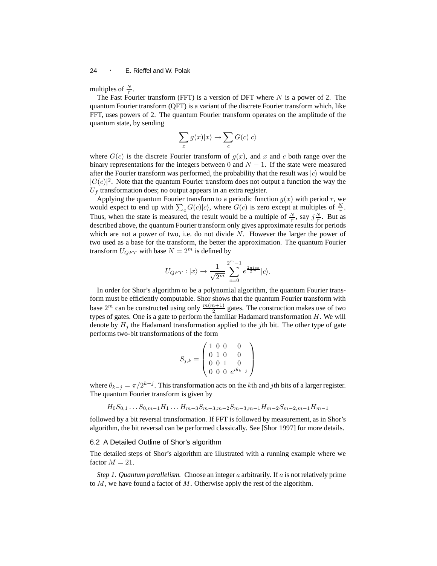multiples of  $\frac{N}{r}$ .

The Fast Fourier transform (FFT) is a version of DFT where  $N$  is a power of 2. The quantum Fourier transform (QFT) is a variant of the discrete Fourier transform which, like FFT, uses powers of 2. The quantum Fourier transform operates on the amplitude of the quantum state, by sending

$$
\sum_x g(x) |x\rangle \to \sum_c G(c) |c\rangle
$$

where  $G(c)$  is the discrete Fourier transform of  $q(x)$ , and x and c both range over the binary representations for the integers between 0 and  $N - 1$ . If the state were measured after the Fourier transform was performed, the probability that the result was  $|c\rangle$  would be  $|G(c)|^2$ . Note that the quantum Fourier transform does not output a function the way the  $U_f$  transformation does; no output appears in an extra register.

Applying the quantum Fourier transform to a periodic function  $g(x)$  with period r, we would expect to end up with  $\sum_{c} G(c)|c\rangle$ , where  $G(c)$  is zero except at multiples of  $\frac{N}{r}$ . Thus, when the state is measured, the result would be a multiple of  $\frac{N}{r}$ , say  $j\frac{N}{r}$ . But as described above, the quantum Fourier transform only gives approximate results for periods which are not a power of two, i.e. do not divide  $N$ . However the larger the power of two used as a base for the transform, the better the approximation. The quantum Fourier transform  $U_{QFT}$  with base  $N = 2^m$  is defined by

$$
U_{QFT}: |x\rangle \rightarrow \frac{1}{\sqrt{2^m}} \sum_{c=0}^{2^m-1} e^{\frac{2\pi i c x}{2^m}} |c\rangle.
$$

In order for Shor's algorithm to be a polynomial algorithm, the quantum Fourier transform must be efficiently computable. Shor shows that the quantum Fourier transform with base  $2^m$  can be constructed using only  $\frac{m(m+1)}{2}$  gates. The construction makes use of two types of gates. One is a gate to perform the familiar Hadamard transformation  $H$ . We will denote by  $H_j$  the Hadamard transformation applied to the jth bit. The other type of gate performs two-bit transformations of the form

$$
S_{j,k} = \begin{pmatrix} 1 & 0 & 0 & 0 \\ 0 & 1 & 0 & 0 \\ 0 & 0 & 1 & 0 \\ 0 & 0 & 0 & e^{i\theta_{k-j}} \end{pmatrix}
$$

where  $\theta_{k-j} = \pi/2^{k-j}$ . This transformation acts on the *k*th and *j*th bits of a larger register. The quantum Fourier transform is given by

$$
H_0S_{0,1}\ldots S_{0,m-1}H_1\ldots H_{m-3}S_{m-3,m-2}S_{m-3,m-1}H_{m-2}S_{m-2,m-1}H_{m-1}
$$

followed by a bit reversal transformation. If FFT is followed by measurement, as in Shor's algorithm, the bit reversal can be performed classically. See [Shor 1997] for more details.

## 6.2 A Detailed Outline of Shor's algorithm

The detailed steps of Shor's algorithm are illustrated with a running example where we factor  $M = 21$ .

*Step 1. Quantum parallelism.* Choose an integer a arbitrarily. If a is not relatively prime to  $M$ , we have found a factor of  $M$ . Otherwise apply the rest of the algorithm.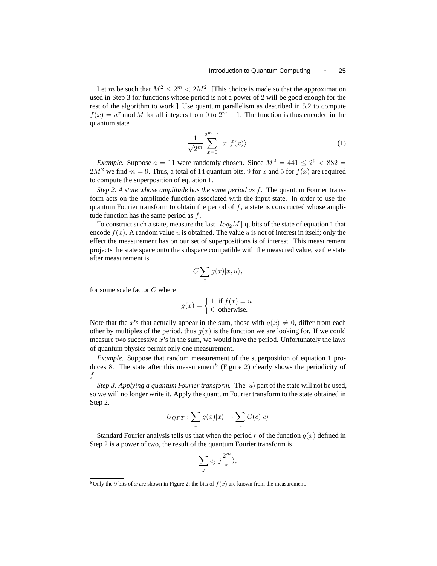Let m be such that  $M^2 \le 2^m < 2M^2$ . [This choice is made so that the approximation used in Step 3 for functions whose period is not a power of 2 will be good enough for the rest of the algorithm to work.] Use quantum parallelism as described in 5.2 to compute  $f(x) = a^x \mod M$  for all integers from 0 to  $2^m - 1$ . The function is thus encoded in the quantum state

$$
\frac{1}{\sqrt{2^m}} \sum_{x=0}^{2^m - 1} |x, f(x) \rangle.
$$
 (1)

*Example.* Suppose  $a = 11$  were randomly chosen. Since  $M^2 = 441 \leq 2^9 < 882 = 2^9$  $2M^2$  we find  $m = 9$ . Thus, a total of 14 quantum bits, 9 for x and 5 for  $f(x)$  are required to compute the superposition of equation 1.

*Step 2. A state whose amplitude has the same period as* f*.* The quantum Fourier transform acts on the amplitude function associated with the input state. In order to use the quantum Fourier transform to obtain the period of  $f$ , a state is constructed whose amplitude function has the same period as  $f$ .

To construct such a state, measure the last  $\lceil log_2M \rceil$  qubits of the state of equation 1 that encode  $f(x)$ . A random value u is obtained. The value u is not of interest in itself; only the effect the measurement has on our set of superpositions is of interest. This measurement projects the state space onto the subspace compatible with the measured value, so the state after measurement is

$$
C\sum_x g(x)|x,u\rangle,
$$

for some scale factor C where

$$
g(x) = \begin{cases} 1 & \text{if } f(x) = u \\ 0 & \text{otherwise.} \end{cases}
$$

Note that the x's that actually appear in the sum, those with  $g(x) \neq 0$ , differ from each other by multiples of the period, thus  $g(x)$  is the function we are looking for. If we could measure two successive  $x$ 's in the sum, we would have the period. Unfortunately the laws of quantum physics permit only one measurement.

*Example.* Suppose that random measurement of the superposition of equation 1 produces 8. The state after this measurement<sup>8</sup> (Figure 2) clearly shows the periodicity of f.

*Step 3. Applying a quantum Fourier transform.* The  $|u\rangle$  part of the state will not be used, so we will no longer write it. Apply the quantum Fourier transform to the state obtained in Step 2.

$$
U_{QFT}: \sum_{x} g(x)|x\rangle \rightarrow \sum_{c} G(c)|c\rangle
$$

Standard Fourier analysis tells us that when the period r of the function  $q(x)$  defined in Step 2 is a power of two, the result of the quantum Fourier transform is

$$
\sum_j c_j |j \frac{2^m}{r} \rangle,
$$

<sup>&</sup>lt;sup>8</sup>Only the 9 bits of x are shown in Figure 2; the bits of  $f(x)$  are known from the measurement.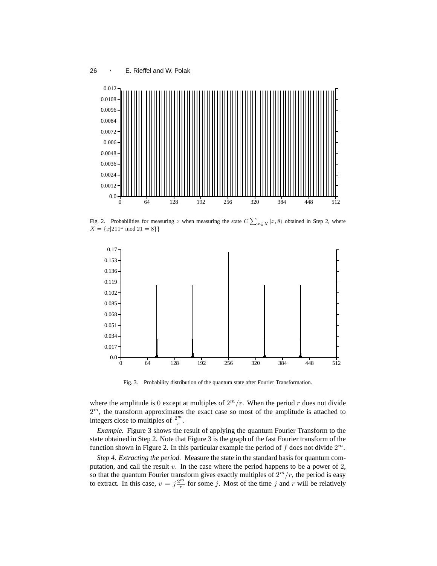

Fig. 2. Probabilities for measuring x when measuring the state  $C\sum_{x\in X}|x,8\rangle$  obtained in Step 2, where  $X = \{x|211^x \mod 21 = 8\}$ 



Fig. 3. Probability distribution of the quantum state after Fourier Transformation.

where the amplitude is 0 except at multiples of  $2<sup>m</sup>/r$ . When the period r does not divide  $2<sup>m</sup>$ , the transform approximates the exact case so most of the amplitude is attached to integers close to multiples of  $\frac{2^m}{r}$ .

*Example.* Figure 3 shows the result of applying the quantum Fourier Transform to the state obtained in Step 2. Note that Figure 3 is the graph of the fast Fourier transform of the function shown in Figure 2. In this particular example the period of  $f$  does not divide  $2^m$ .

*Step 4. Extracting the period.* Measure the state in the standard basis for quantum computation, and call the result  $v$ . In the case where the period happens to be a power of 2, so that the quantum Fourier transform gives exactly multiples of  $2<sup>m</sup>/r$ , the period is easy to extract. In this case,  $v = j\frac{2^m}{r}$  for some j. Most of the time j and r will be relatively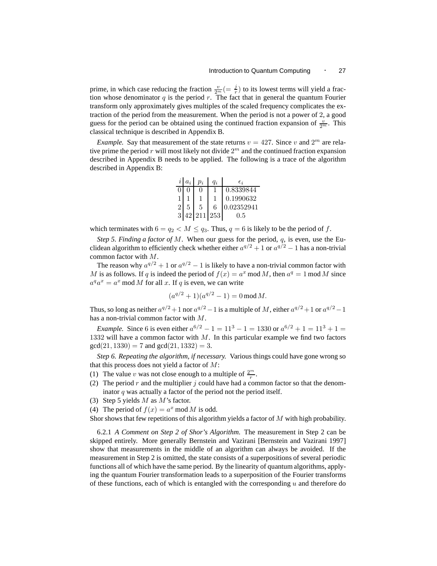prime, in which case reducing the fraction  $\frac{v}{2^m} (= \frac{j}{r})$  to its lowest terms will yield a fraction whose denominator  $q$  is the period  $r$ . The fact that in general the quantum Fourier transform only approximately gives multiples of the scaled frequency complicates the extraction of the period from the measurement. When the period is not a power of 2, a good guess for the period can be obtained using the continued fraction expansion of  $\frac{v}{2^m}$ . This classical technique is described in Appendix B.

*Example.* Say that measurement of the state returns  $v = 427$ . Since v and  $2^m$  are relative prime the period  $r$  will most likely not divide  $2<sup>m</sup>$  and the continued fraction expansion described in Appendix B needs to be applied. The following is a trace of the algorithm described in Appendix B:

| $\dot{\imath}$ | $a_i$ | $p_i$ | $q_i$      | $\epsilon_i$ |
|----------------|-------|-------|------------|--------------|
|                |       |       |            | 0.8339844    |
|                |       |       |            | 0.1990632    |
| $\overline{2}$ | 5     | 5     | 6.         | 0.02352941   |
| 3              |       |       | 42 211 253 | 0.5          |

which terminates with  $6 = q_2 < M \leq q_3$ . Thus,  $q = 6$  is likely to be the period of f.

*Step 5. Finding a factor of* M*.* When our guess for the period, q, is even, use the Euclidean algorithm to efficiently check whether either  $a^{q/2} + 1$  or  $a^{q/2} - 1$  has a non-trivial common factor with M.

The reason why  $a^{q/2} + 1$  or  $a^{q/2} - 1$  is likely to have a non-trivial common factor with M is as follows. If q is indeed the period of  $f(x) = a^x \mod M$ , then  $a^q = 1 \mod M$  since  $a^q a^x = a^x \mod M$  for all x. If q is even, we can write

$$
(a^{q/2} + 1)(a^{q/2} - 1) = 0 \mod M.
$$

Thus, so long as neither  $a^{q/2} + 1$  nor  $a^{q/2} - 1$  is a multiple of M, either  $a^{q/2} + 1$  or  $a^{q/2} - 1$ has a non-trivial common factor with M.

*Example.* Since 6 is even either  $a^{6/2} - 1 = 11^3 - 1 = 1330$  or  $a^{6/2} + 1 = 11^3 + 1 =$ 1332 will have a common factor with  $M$ . In this particular example we find two factors  $gcd(21, 1330) = 7$  and  $gcd(21, 1332) = 3$ .

*Step 6. Repeating the algorithm, if necessary.* Various things could have gone wrong so that this process does not yield a factor of  $M$ :

- (1) The value v was not close enough to a multiple of  $\frac{2^m}{r}$ .
- (2) The period r and the multiplier j could have had a common factor so that the denominator  $q$  was actually a factor of the period not the period itself.
- (3) Step 5 yields  $M$  as  $M$ 's factor.
- (4) The period of  $f(x) = a^x \text{ mod } M$  is odd.

Shor shows that few repetitions of this algorithm yields a factor of M with high probability.

6.2.1 *A Comment on Step 2 of Shor's Algorithm.* The measurement in Step 2 can be skipped entirely. More generally Bernstein and Vazirani [Bernstein and Vazirani 1997] show that measurements in the middle of an algorithm can always be avoided. If the measurement in Step 2 is omitted, the state consists of a superpositions of several periodic functions all of which have the same period. By the linearity of quantum algorithms, applying the quantum Fourier transformation leads to a superposition of the Fourier transforms of these functions, each of which is entangled with the corresponding  $u$  and therefore do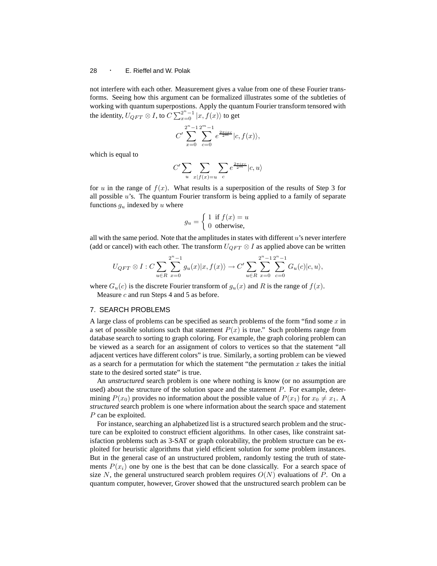not interfere with each other. Measurement gives a value from one of these Fourier transforms. Seeing how this argument can be formalized illustrates some of the subtleties of working with quantum superpostions. Apply the quantum Fourier transform tensored with the identity,  $U_{QFT} \otimes I$ , to  $C \sum_{x=0}^{2^n-1} |x, f(x) \rangle$  to get

$$
C' \sum_{x=0}^{2^n - 1} \sum_{c=0}^{2^m - 1} e^{\frac{2\pi i x c}{2^m}} |c, f(x) \rangle,
$$

which is equal to

$$
C' \sum_{u} \sum_{x | f(x) = u} \sum_{c} e^{\frac{2\pi i x c}{2^m}} |c, u\rangle
$$

for u in the range of  $f(x)$ . What results is a superposition of the results of Step 3 for all possible  $u$ 's. The quantum Fourier transform is being applied to a family of separate functions  $g_u$  indexed by u where

$$
g_u = \begin{cases} 1 & \text{if } f(x) = u \\ 0 & \text{otherwise,} \end{cases}
$$

all with the same period. Note that the amplitudes in states with different  $u$ 's never interfere (add or cancel) with each other. The transform  $U_{QFT} \otimes I$  as applied above can be written

$$
U_{QFT} \otimes I : C \sum_{u \in R} \sum_{x=0}^{2^n - 1} g_u(x)|x, f(x) \rangle \to C' \sum_{u \in R} \sum_{x=0}^{2^n - 1} \sum_{c=0}^{2^n - 1} G_u(c)|c, u \rangle,
$$

where  $G_u(c)$  is the discrete Fourier transform of  $g_u(x)$  and R is the range of  $f(x)$ . Measure  $c$  and run Steps 4 and 5 as before.

#### 7. SEARCH PROBLEMS

A large class of problems can be specified as search problems of the form "find some  $x$  in a set of possible solutions such that statement  $P(x)$  is true." Such problems range from database search to sorting to graph coloring. For example, the graph coloring problem can be viewed as a search for an assignment of colors to vertices so that the statement "all adjacent vertices have different colors" is true. Similarly, a sorting problem can be viewed as a search for a permutation for which the statement "the permutation  $x$  takes the initial state to the desired sorted state" is true.

An *unstructured* search problem is one where nothing is know (or no assumption are used) about the structure of the solution space and the statement  $P$ . For example, determining  $P(x_0)$  provides no information about the possible value of  $P(x_1)$  for  $x_0 \neq x_1$ . A *structured* search problem is one where information about the search space and statement P can be exploited.

For instance, searching an alphabetized list is a structured search problem and the structure can be exploited to construct efficient algorithms. In other cases, like constraint satisfaction problems such as 3-SAT or graph colorability, the problem structure can be exploited for heuristic algorithms that yield efficient solution for some problem instances. But in the general case of an unstructured problem, randomly testing the truth of statements  $P(x_i)$  one by one is the best that can be done classically. For a search space of size N, the general unstructured search problem requires  $O(N)$  evaluations of P. On a quantum computer, however, Grover showed that the unstructured search problem can be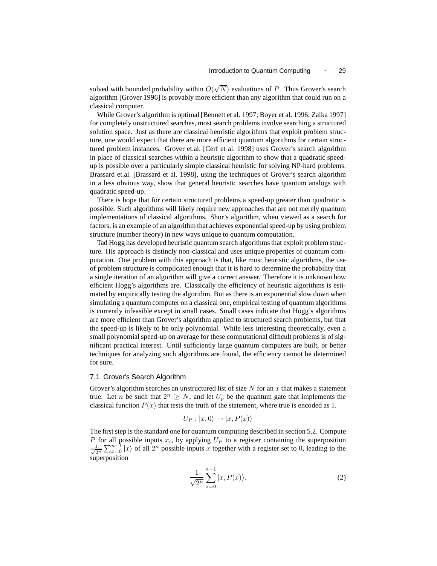solved with bounded probability within  $O(\sqrt{N})$  evaluations of P. Thus Grover's search algorithm [Grover 1996] is provably more efficient than any algorithm that could run on a classical computer.

While Grover's algorithm is optimal [Bennett et al. 1997; Boyer et al. 1996; Zalka 1997] for completely unstructured searches, most search problems involve searching a structured solution space. Just as there are classical heuristic algorithms that exploit problem structure, one would expect that there are more efficient quantum algorithms for certain structured problem instances. Grover et.al. [Cerf et al. 1998] uses Grover's search algorithm in place of classical searches within a heuristic algorithm to show that a quadratic speedup is possible over a particularly simple classical heuristic for solving NP-hard problems. Brassard et.al. [Brassard et al. 1998], using the techniques of Grover's search algorithm in a less obvious way, show that general heuristic searches have quantum analogs with quadratic speed-up.

There is hope that for certain structured problems a speed-up greater than quadratic is possible. Such algorithms will likely require new approaches that are not merely quantum implementations of classical algorithms. Shor's algorithm, when viewed as a search for factors, is an example of an algorithm that achieves exponential speed-up by using problem structure (number theory) in new ways unique to quantum computation.

Tad Hogg has developed heuristic quantum search algorithmsthat exploit problem structure. His approach is distincly non-classical and uses unique properties of quantum computation. One problem with this approach is that, like most heuristic algorithms, the use of problem structure is complicated enough that it is hard to determine the probability that a single iteration of an algorithm will give a correct answer. Therefore it is unknown how efficient Hogg's algorithms are. Classically the efficiency of heuristic algorithms is estimated by empirically testing the algorithm. But as there is an exponential slow down when simulating a quantum computer on a classical one, empirical testing of quantum algorithms is currently infeasible except in small cases. Small cases indicate that Hogg's algorithms are more efficient than Grover's algorithm applied to structured search problems, but that the speed-up is likely to be only polynomial. While less interesting theoretically, even a small polynomial speed-up on average for these computational difficult problems is of significant practical interest. Until sufficiently large quantum computers are built, or better techniques for analyzing such algorithms are found, the efficiency cannot be determined for sure.

#### 7.1 Grover's Search Algorithm

Grover's algorithm searches an unstructured list of size  $N$  for an  $x$  that makes a statement true. Let *n* be such that  $2^n \geq N$ , and let  $U_p$  be the quantum gate that implements the classical function  $P(x)$  that tests the truth of the statement, where true is encoded as 1.

$$
U_P: |x,0\rangle \to |x,P(x)\rangle
$$

The first step is the standard one for quantum computing described in section 5.2. Compute P for all possible inputs  $x_i$ , by applying  $U_P$  to a register containing the superposition  $\frac{1}{\sqrt{2^n}}\sum_{x=0}^{n-1}|x\rangle$  of all  $2^n$  possible inputs x together with a register set to 0, leading to the superposition

$$
\frac{1}{\sqrt{2^n}}\sum_{x=0}^{n-1}|x,P(x)\rangle.
$$
 (2)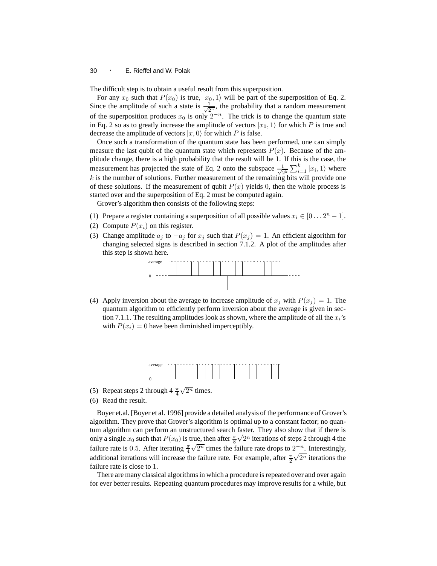The difficult step is to obtain a useful result from this superposition.

For any  $x_0$  such that  $P(x_0)$  is true,  $|x_0, 1\rangle$  will be part of the superposition of Eq. 2. Since the amplitude of such a state is  $\frac{1}{\sqrt{2^n}}$ , the probability that a random measurement of the superposition produces  $x_0$  is only  $2^{-n}$ . The trick is to change the quantum state in Eq. 2 so as to greatly increase the amplitude of vectors  $|x_0, 1\rangle$  for which P is true and decrease the amplitude of vectors  $|x, 0\rangle$  for which P is false.

Once such a transformation of the quantum state has been performed, one can simply measure the last qubit of the quantum state which represents  $P(x)$ . Because of the amplitude change, there is a high probability that the result will be 1. If this is the case, the measurement has projected the state of Eq. 2 onto the subspace  $\frac{1}{\sqrt{6}}$  $\frac{1}{2^k} \sum_{i=1}^k |x_i, 1\rangle$  where  $k$  is the number of solutions. Further measurement of the remaining bits will provide one of these solutions. If the measurement of qubit  $P(x)$  yields 0, then the whole process is started over and the superposition of Eq. 2 must be computed again.

Grover's algorithm then consists of the following steps:

- (1) Prepare a register containing a superposition of all possible values  $x_i \in [0 \dots 2^n 1]$ .
- (2) Compute  $P(x_i)$  on this register.
- (3) Change amplitude  $a_j$  to  $-a_j$  for  $x_j$  such that  $P(x_j) = 1$ . An efficient algorithm for changing selected signs is described in section 7.1.2. A plot of the amplitudes after this step is shown here.



(4) Apply inversion about the average to increase amplitude of  $x_j$  with  $P(x_j) = 1$ . The quantum algorithm to efficiently perform inversion about the average is given in section 7.1.1. The resulting amplitudes look as shown, where the amplitude of all the  $x_i$ 's with  $P(x_i) = 0$  have been diminished imperceptibly.



(5) Repeat steps 2 through  $4 \frac{\pi}{4} \sqrt{2^n}$  times.

(6) Read the result.

Boyer et.al. [Boyer et al. 1996] provide a detailed analysis of the performance of Grover's algorithm. They prove that Grover's algorithm is optimal up to a constant factor; no quantum algorithm can perform an unstructured search faster. They also show that if there is only a single  $x_0$  such that  $P(x_0)$  is true, then after  $\frac{\pi}{8} \sqrt{2^n}$  iterations of steps 2 through 4 the failure rate is 0.5. After iterating  $\frac{\pi}{4}\sqrt{2^n}$  times the failure rate drops to  $2^{-n}$ . Interestingly, additional iterations will increase the failure rate. For example, after  $\frac{\pi}{2}\sqrt{2^n}$  iterations the failure rate is close to 1.

There are many classical algorithms in which a procedure is repeated over and over again for ever better results. Repeating quantum procedures may improve results for a while, but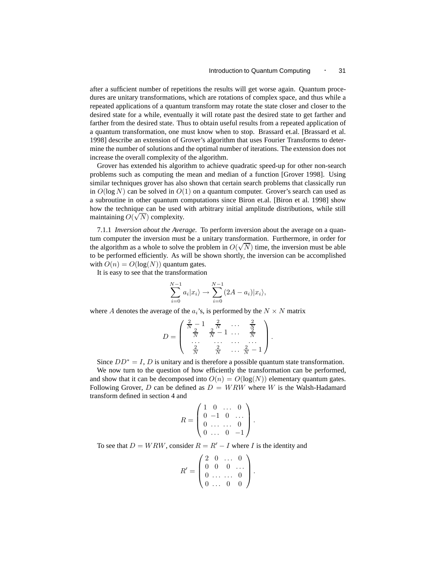after a sufficient number of repetitions the results will get worse again. Quantum procedures are unitary transformations, which are rotations of complex space, and thus while a repeated applications of a quantum transform may rotate the state closer and closer to the desired state for a while, eventually it will rotate past the desired state to get farther and farther from the desired state. Thus to obtain useful results from a repeated application of a quantum transformation, one must know when to stop. Brassard et.al. [Brassard et al. 1998] describe an extension of Grover's algorithm that uses Fourier Transforms to determine the number of solutions and the optimal number of iterations. The extension does not increase the overall complexity of the algorithm.

Grover has extended his algorithm to achieve quadratic speed-up for other non-search problems such as computing the mean and median of a function [Grover 1998]. Using similar techniques grover has also shown that certain search problems that classically run in  $O(log N)$  can be solved in  $O(1)$  on a quantum computer. Grover's search can used as a subroutine in other quantum computations since Biron et.al. [Biron et al. 1998] show how the technique can be used with arbitrary initial amplitude distributions, while still maintaining  $O(\sqrt{N})$  complexity.

7.1.1 *Inversion about the Average.* To perform inversion about the average on a quantum computer the inversion must be a unitary transformation. Furthermore, in order for the algorithm as a whole to solve the problem in  $O(\sqrt{N})$  time, the inversion must be able to be performed efficiently. As will be shown shortly, the inversion can be accomplished with  $O(n) = O(\log(N))$  quantum gates.

It is easy to see that the transformation

$$
\sum_{i=0}^{N-1} a_i |x_i\rangle \rightarrow \sum_{i=0}^{N-1} (2A - a_i) |x_i\rangle,
$$

where A denotes the average of the  $a_i$ 's, is performed by the  $N \times N$  matrix

$$
D = \begin{pmatrix} \frac{2}{N} - 1 & \frac{2}{N} & \cdots & \frac{2}{N} \\ \frac{2}{N} & \frac{2}{N} - 1 & \cdots & \frac{2}{N} \\ \cdots & \cdots & \cdots & \cdots \\ \frac{2}{N} & \frac{2}{N} & \cdots & \frac{2}{N} - 1 \end{pmatrix}.
$$

Since  $DD^* = I$ , D is unitary and is therefore a possible quantum state transformation.

We now turn to the question of how efficiently the transformation can be performed, and show that it can be decomposed into  $O(n) = O(\log(N))$  elementary quantum gates. Following Grover, D can be defined as  $D = WRW$  where W is the Walsh-Hadamard transform defined in section 4 and

$$
R = \begin{pmatrix} 1 & 0 & \dots & 0 \\ 0 & -1 & 0 & \dots \\ 0 & \dots & \dots & 0 \\ 0 & \dots & 0 & -1 \end{pmatrix}.
$$

To see that  $D = WRW$ , consider  $R = R' - I$  where I is the identity and

$$
R' = \begin{pmatrix} 2 & 0 & \dots & 0 \\ 0 & 0 & 0 & \dots \\ 0 & \dots & \dots & 0 \\ 0 & \dots & 0 & 0 \end{pmatrix}.
$$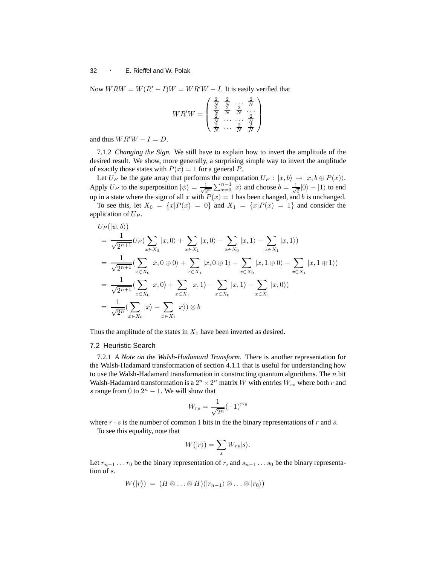Now  $WRW = W(R' - I)W = WR'W - I$ . It is easily verified that

$$
WR'W = \begin{pmatrix} \frac{2}{N} & \frac{2}{N} & \cdots & \frac{2}{N} \\ \frac{2}{N} & \frac{2}{N} & \frac{2}{N} & \cdots \\ \frac{2}{N} & \cdots & \frac{2}{N} & \frac{2}{N} \end{pmatrix}
$$

and thus  $WR'W - I = D$ .

7.1.2 *Changing the Sign.* We still have to explain how to invert the amplitude of the desired result. We show, more generally, a surprising simple way to invert the amplitude of exactly those states with  $P(x) = 1$  for a general P.

Let  $U_P$  be the gate array that performs the computation  $U_P : |x, b\rangle \rightarrow |x, b \oplus P(x)\rangle$ . Apply  $U_P$  to the superposition  $|\psi\rangle = \frac{1}{\sqrt{2^n}} \sum_{x=0}^{n-1} |x\rangle$  and choose  $b = \frac{1}{\sqrt{2^n}}$  $\frac{1}{2}|0\rangle - |1\rangle$  to end up in a state where the sign of all x with  $P(x) = 1$  has been changed, and b is unchanged.

To see this, let  $X_0 = \{x|P(x) = 0\}$  and  $X_1 = \{x|P(x) = 1\}$  and consider the application of  $U_P$ .

$$
U_P(|\psi, b\rangle)
$$
  
=  $\frac{1}{\sqrt{2^{n+1}}} U_P(\sum_{x \in X_0} |x, 0\rangle + \sum_{x \in X_1} |x, 0\rangle - \sum_{x \in X_0} |x, 1\rangle - \sum_{x \in X_1} |x, 1\rangle)$   
=  $\frac{1}{\sqrt{2^{n+1}}} (\sum_{x \in X_0} |x, 0 \oplus 0\rangle + \sum_{x \in X_1} |x, 0 \oplus 1\rangle - \sum_{x \in X_0} |x, 1 \oplus 0\rangle - \sum_{x \in X_1} |x, 1 \oplus 1\rangle)$   
=  $\frac{1}{\sqrt{2^{n+1}}} (\sum_{x \in X_0} |x, 0\rangle + \sum_{x \in X_1} |x, 1\rangle - \sum_{x \in X_0} |x, 1\rangle - \sum_{x \in X_1} |x, 0\rangle)$   
=  $\frac{1}{\sqrt{2^n}} (\sum_{x \in X_0} |x\rangle - \sum_{x \in X_1} |x\rangle) \otimes b$ 

Thus the amplitude of the states in  $X_1$  have been inverted as desired.

## 7.2 Heuristic Search

7.2.1 *A Note on the Walsh-Hadamard Transform.* There is another representation for the Walsh-Hadamard transformation of section 4.1.1 that is useful for understanding how to use the Walsh-Hadamard transformation in constructing quantum algorithms. The  $n$  bit Walsh-Hadamard transformation is a  $2^n \times 2^n$  matrix W with entries  $W_{rs}$  where both r and s range from 0 to  $2^n - 1$ . We will show that

$$
W_{rs} = \frac{1}{\sqrt{2^n}} (-1)^{r \cdot s}
$$

where  $r \cdot s$  is the number of common 1 bits in the the binary representations of r and s. To see this equality, note that

$$
W(|r\rangle) = \sum_{s} W_{rs}|s\rangle.
$$

Let  $r_{n-1} \ldots r_0$  be the binary representation of r, and  $s_{n-1} \ldots s_0$  be the binary representation of s.

$$
W(|r\rangle) = (H \otimes \ldots \otimes H)(|r_{n-1}\rangle \otimes \ldots \otimes |r_0\rangle)
$$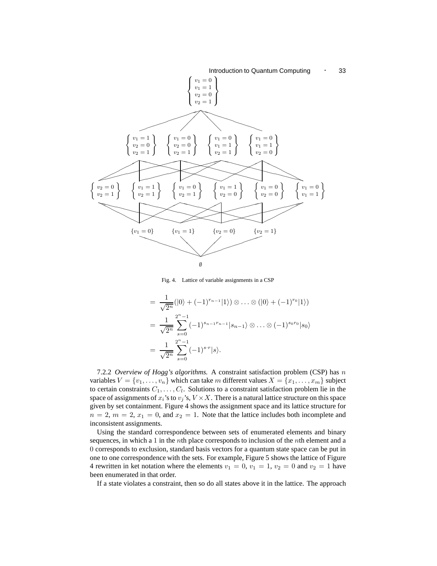

Fig. 4. Lattice of variable assignments in a CSP

$$
= \frac{1}{\sqrt{2^n}} (|0\rangle + (-1)^{r_{n-1}} |1\rangle) \otimes \ldots \otimes (|0\rangle + (-1)^{r_0} |1\rangle)
$$
  
= 
$$
\frac{1}{\sqrt{2^n}} \sum_{s=0}^{2^n - 1} (-1)^{s_{n-1}r_{n-1}} |s_{n-1}\rangle \otimes \ldots \otimes (-1)^{s_0 r_0} |s_0\rangle
$$
  
= 
$$
\frac{1}{\sqrt{2^n}} \sum_{s=0}^{2^n - 1} (-1)^{s \cdot r} |s\rangle.
$$

7.2.2 *Overview of Hogg's algorithms.* A constraint satisfaction problem (CSP) has n variables  $V = \{v_1, \ldots, v_n\}$  which can take m different values  $X = \{x_1, \ldots, x_m\}$  subject to certain constraints  $C_1, \ldots, C_l$ . Solutions to a constraint satisfaction problem lie in the space of assignments of  $x_i$ 's to  $v_j$ 's,  $V \times X$ . There is a natural lattice structure on this space given by set containment. Figure 4 shows the assignment space and its lattice structure for  $n = 2$ ,  $m = 2$ ,  $x_1 = 0$ , and  $x_2 = 1$ . Note that the lattice includes both incomplete and inconsistent assignments.

Using the standard correspondence between sets of enumerated elements and binary sequences, in which a 1 in the nth place corresponds to inclusion of the nth element and a 0 corresponds to exclusion, standard basis vectors for a quantum state space can be put in one to one correspondence with the sets. For example, Figure 5 shows the lattice of Figure 4 rewritten in ket notation where the elements  $v_1 = 0$ ,  $v_1 = 1$ ,  $v_2 = 0$  and  $v_2 = 1$  have been enumerated in that order.

If a state violates a constraint, then so do all states above it in the lattice. The approach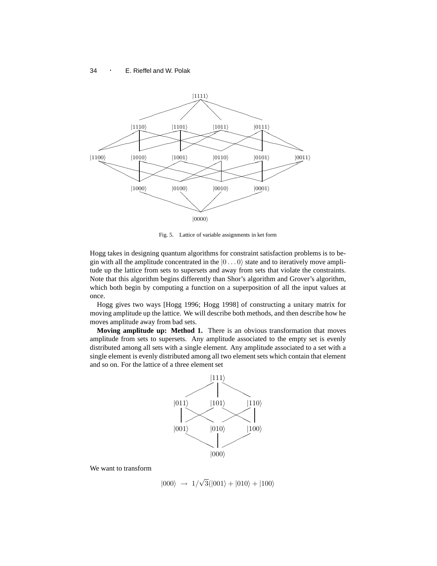

Fig. 5. Lattice of variable assignments in ket form

Hogg takes in designing quantum algorithms for constraint satisfaction problems is to begin with all the amplitude concentrated in the  $|0 \dots 0\rangle$  state and to iteratively move amplitude up the lattice from sets to supersets and away from sets that violate the constraints. Note that this algorithm begins differently than Shor's algorithm and Grover's algorithm, which both begin by computing a function on a superposition of all the input values at once.

Hogg gives two ways [Hogg 1996; Hogg 1998] of constructing a unitary matrix for moving amplitude up the lattice. We will describe both methods, and then describe how he moves amplitude away from bad sets.

**Moving amplitude up: Method 1.** There is an obvious transformation that moves amplitude from sets to supersets. Any amplitude associated to the empty set is evenly distributed among all sets with a single element. Any amplitude associated to a set with a single element is evenly distributed among all two element sets which contain that element and so on. For the lattice of a three element set



We want to transform

 $|000\rangle \rightarrow 1/\sqrt{3}(|001\rangle + |010\rangle + |100\rangle$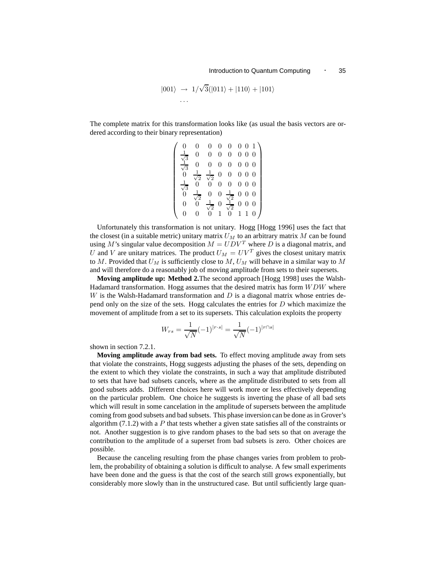Introduction to Quantum Computing  $\cdot$  35

$$
|001\rangle \ \rightarrow \ 1/\sqrt{3}(|011\rangle + |110\rangle + |101\rangle
$$

. . .

The complete matrix for this transformation looks like (as usual the basis vectors are ordered according to their binary representation)

| 0  |            |                      | 0                | 0                    | 0 | $\overline{0}$ | $\mathbf{1}$ |
|----|------------|----------------------|------------------|----------------------|---|----------------|--------------|
| ୍ଟ | 0          | 0                    | 0                | 0                    | 0 | 0              | 0            |
| 3  | 0          | $\left( \right)$     | 0                | 0                    | 0 | 0              | 0            |
| 0  | $\sqrt{2}$ | $\frac{1}{\sqrt{2}}$ | $\boldsymbol{0}$ | 0                    | 0 | $\overline{0}$ | 0            |
|    |            | 0                    | 0                | 0                    | 0 | 0              | 0            |
| 0  | $\sqrt{2}$ | 0                    | 0                | $\frac{1}{2}$<br>/2  | 0 | 0              | 0            |
| 0  |            |                      |                  | $\frac{1}{\sqrt{2}}$ | 0 | O              | 0            |
|    |            |                      |                  |                      |   |                |              |

Unfortunately this transformation is not unitary. Hogg [Hogg 1996] uses the fact that the closest (in a suitable metric) unitary matrix  $U_M$  to an arbitrary matrix M can be found using M's singular value decomposition  $M = U D V^T$  where D is a diagonal matrix, and U and V are unitary matrices. The product  $U_M = UV^T$  gives the closest unitary matrix to M. Provided that  $U_M$  is sufficiently close to  $M, U_M$  will behave in a similar way to M and will therefore do a reasonably job of moving amplitude from sets to their supersets.

**Moving amplitude up: Method 2.**The second approach [Hogg 1998] uses the Walsh-Hadamard transformation. Hogg assumes that the desired matrix has form  $WDW$  where W is the Walsh-Hadamard transformation and  $D$  is a diagonal matrix whose entries depend only on the size of the sets. Hogg calculates the entries for  $D$  which maximize the movement of amplitude from a set to its supersets. This calculation exploits the property

$$
W_{rs} = \frac{1}{\sqrt{N}}(-1)^{|r \cdot s|} = \frac{1}{\sqrt{N}}(-1)^{|r \cap s|}
$$

shown in section 7.2.1.

**Moving amplitude away from bad sets.** To effect moving amplitude away from sets that violate the constraints, Hogg suggests adjusting the phases of the sets, depending on the extent to which they violate the constraints, in such a way that amplitude distributed to sets that have bad subsets cancels, where as the amplitude distributed to sets from all good subsets adds. Different choices here will work more or less effectively depending on the particular problem. One choice he suggests is inverting the phase of all bad sets which will result in some cancelation in the amplitude of supersets between the amplitude coming from good subsets and bad subsets. This phase inversion can be done as in Grover's algorithm  $(7.1.2)$  with a P that tests whether a given state satisfies all of the constraints or not. Another suggestion is to give random phases to the bad sets so that on average the contribution to the amplitude of a superset from bad subsets is zero. Other choices are possible.

Because the canceling resulting from the phase changes varies from problem to problem, the probability of obtaining a solution is difficult to analyse. A few small experiments have been done and the guess is that the cost of the search still grows exponentially, but considerably more slowly than in the unstructured case. But until sufficiently large quan-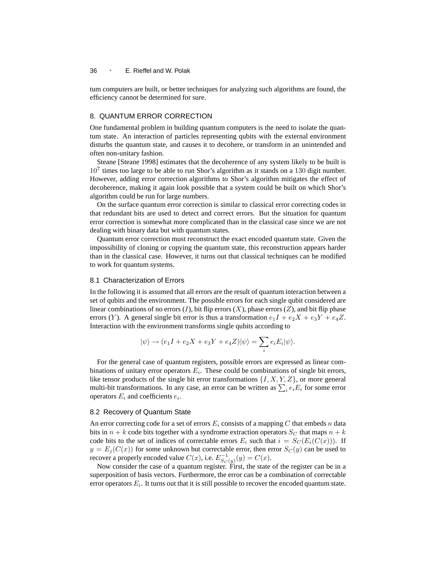tum computers are built, or better techniques for analyzing such algorithms are found, the efficiency cannot be determined for sure.

# 8. QUANTUM ERROR CORRECTION

One fundamental problem in building quantum computers is the need to isolate the quantum state. An interaction of particles representing qubits with the external environment disturbs the quantum state, and causes it to decohere, or transform in an unintended and often non-unitary fashion.

Steane [Steane 1998] estimates that the decoherence of any system likely to be built is 10<sup>7</sup> times too large to be able to run Shor's algorithm as it stands on a 130 digit number. However, adding error correction algorithms to Shor's algorithm mitigates the effect of decoherence, making it again look possible that a system could be built on which Shor's algorithm could be run for large numbers.

On the surface quantum error correction is similar to classical error correcting codes in that redundant bits are used to detect and correct errors. But the situation for quantum error correction is somewhat more complicated than in the classical case since we are not dealing with binary data but with quantum states.

Quantum error correction must reconstruct the exact encoded quantum state. Given the impossibility of cloning or copying the quantum state, this reconstruction appears harder than in the classical case. However, it turns out that classical techniques can be modified to work for quantum systems.

#### 8.1 Characterization of Errors

In the following it is assumed that all errors are the result of quantum interaction between a set of qubits and the environment. The possible errors for each single qubit considered are linear combinations of no errors  $(I)$ , bit flip errors  $(X)$ , phase errors  $(Z)$ , and bit flip phase errors (Y). A general single bit error is thus a transformation  $e_1I + e_2X + e_3Y + e_4Z$ . Interaction with the environment transforms single qubits according to

$$
|\psi\rangle \rightarrow (e_1I + e_2X + e_3Y + e_4Z)|\psi\rangle = \sum_i e_iE_i|\psi\rangle.
$$

For the general case of quantum registers, possible errors are expressed as linear combinations of unitary error operators  $E_i$ . These could be combinations of single bit errors, like tensor products of the single bit error transformations  $\{I, X, Y, Z\}$ , or more general multi-bit transformations. In any case, an error can be written as  $\sum_i e_i E_i$  for some error operators  $E_i$  and coefficients  $e_i$ .

## 8.2 Recovery of Quantum State

An error correcting code for a set of errors  $E_i$  consists of a mapping C that embeds n data bits in  $n + k$  code bits together with a syndrome extraction operators  $S_C$  that maps  $n + k$ code bits to the set of indices of correctable errors  $E_i$  such that  $i = S_C(E_i(C(x)))$ . If  $y = E_j(C(x))$  for some unknown but correctable error, then error  $S_C(y)$  can be used to recover a properly encoded value  $C(x)$ , i.e.  $E_{S_{C}(y)}^{-1}(y) = C(x)$ .

Now consider the case of a quantum register. First, the state of the register can be in a superposition of basis vectors. Furthermore, the error can be a combination of correctable error operators  $E_i.$  It turns out that it is still possible to recover the encoded quantum state.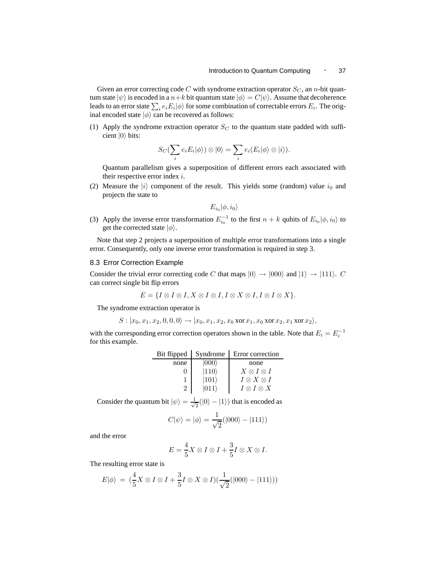Given an error correcting code C with syndrome extraction operator  $S_C$ , an n-bit quantum state  $|\psi\rangle$  is encoded in a  $n+k$  bit quantum state  $|\phi\rangle = C|\psi\rangle$ . Assume that decoherence leads to an error state  $\sum_i e_i E_i |\phi\rangle$  for some combination of correctable errors  $E_i$ . The original encoded state  $|\phi\rangle$  can be recovered as follows:

(1) Apply the syndrome extraction operator  $S_C$  to the quantum state padded with sufficient  $|0\rangle$  bits:

$$
S_C(\sum_i e_i E_i |\phi\rangle) \otimes |0\rangle = \sum_i e_i (E_i |\phi\rangle \otimes |i\rangle).
$$

Quantum parallelism gives a superposition of different errors each associated with their respective error index i.

(2) Measure the  $|i\rangle$  component of the result. This yields some (random) value  $i_0$  and projects the state to

$$
E_{i_0}|\phi,i_0\rangle
$$

(3) Apply the inverse error transformation  $E_{i_0}^{-1}$  to the first  $n + k$  qubits of  $E_{i_0} | \phi, i_0 \rangle$  to get the corrected state  $|\phi\rangle$ .

Note that step 2 projects a superposition of multiple error transformations into a single error. Consequently, only one inverse error transformation is required in step 3.

# 8.3 Error Correction Example

Consider the trivial error correcting code C that maps  $|0\rangle \rightarrow |000\rangle$  and  $|1\rangle \rightarrow |111\rangle$ . C can correct single bit flip errors

$$
E = \{I \otimes I \otimes I, X \otimes I \otimes I, I \otimes X \otimes I, I \otimes I \otimes X\}.
$$

The syndrome extraction operator is

$$
S: |x_0, x_1, x_2, 0, 0, 0\rangle \rightarrow |x_0, x_1, x_2, x_0 \text{ for } x_1, x_0 \text{ for } x_2, x_1 \text{ for } x_2\rangle,
$$

with the corresponding error correction operators shown in the table. Note that  $E_i = E_i^{-1}$ for this example.

| Bit flipped $\vert$ | Syndrome      | Error correction        |
|---------------------|---------------|-------------------------|
| none                | 000           | none                    |
|                     | $ 110\rangle$ | $X \otimes I \otimes I$ |
|                     | $ 101\rangle$ | $I\otimes X\otimes I$   |
| 2                   |               | $I \otimes I \otimes X$ |

Consider the quantum bit  $|\psi\rangle = \frac{1}{\sqrt{2}}$  $\frac{1}{2}(|0\rangle - |1\rangle)$  that is encoded as

$$
C|\psi\rangle=|\phi\rangle=\frac{1}{\sqrt{2}}(|000\rangle-|111\rangle)
$$

and the error

$$
E = \frac{4}{5}X \otimes I \otimes I + \frac{3}{5}I \otimes X \otimes I.
$$

The resulting error state is

$$
E|\phi\rangle = (\frac{4}{5}X \otimes I \otimes I + \frac{3}{5}I \otimes X \otimes I)(\frac{1}{\sqrt{2}}(|000\rangle - |111\rangle))
$$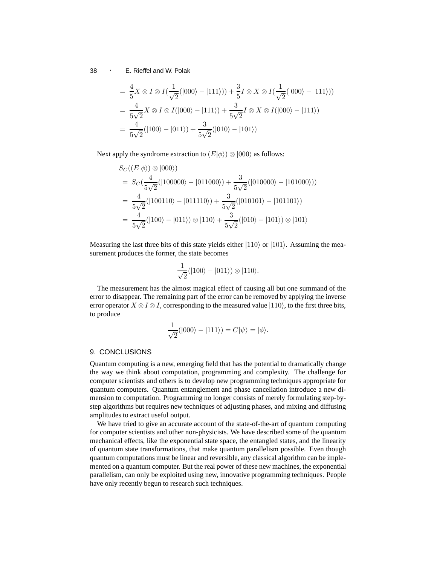$$
= \frac{4}{5}X \otimes I \otimes I(\frac{1}{\sqrt{2}}(|000\rangle - |111\rangle)) + \frac{3}{5}I \otimes X \otimes I(\frac{1}{\sqrt{2}}(|000\rangle - |111\rangle))
$$
  

$$
= \frac{4}{5\sqrt{2}}X \otimes I \otimes I(|000\rangle - |111\rangle) + \frac{3}{5\sqrt{2}}I \otimes X \otimes I(|000\rangle - |111\rangle)
$$
  

$$
= \frac{4}{5\sqrt{2}}(|100\rangle - |011\rangle) + \frac{3}{5\sqrt{2}}(|010\rangle - |101\rangle)
$$

Next apply the syndrome extraction to  $(E|\phi\rangle) \otimes |000\rangle$  as follows:

$$
S_C((E|\phi\rangle) \otimes |000\rangle)
$$
  
=  $S_C(\frac{4}{5\sqrt{2}}(|100000\rangle - |011000\rangle) + \frac{3}{5\sqrt{2}}(|010000\rangle - |101000\rangle))$   
=  $\frac{4}{5\sqrt{2}}(|100110\rangle - |011110\rangle) + \frac{3}{5\sqrt{2}}(|010101\rangle - |101101\rangle)$   
=  $\frac{4}{5\sqrt{2}}(|100\rangle - |011\rangle) \otimes |110\rangle + \frac{3}{5\sqrt{2}}(|010\rangle - |101\rangle) \otimes |101\rangle$ 

Measuring the last three bits of this state yields either  $|110\rangle$  or  $|101\rangle$ . Assuming the measurement produces the former, the state becomes

$$
\frac{1}{\sqrt{2}}(|100\rangle - |011\rangle) \otimes |110\rangle.
$$

The measurement has the almost magical effect of causing all but one summand of the error to disappear. The remaining part of the error can be removed by applying the inverse error operator  $X \otimes I \otimes I$ , corresponding to the measured value  $|110\rangle$ , to the first three bits, to produce

$$
\frac{1}{\sqrt{2}}(|000\rangle - |111\rangle) = C|\psi\rangle = |\phi\rangle.
$$

## 9. CONCLUSIONS

Quantum computing is a new, emerging field that has the potential to dramatically change the way we think about computation, programming and complexity. The challenge for computer scientists and others is to develop new programming techniques appropriate for quantum computers. Quantum entanglement and phase cancellation introduce a new dimension to computation. Programming no longer consists of merely formulating step-bystep algorithms but requires new techniques of adjusting phases, and mixing and diffusing amplitudes to extract useful output.

We have tried to give an accurate account of the state-of-the-art of quantum computing for computer scientists and other non-physicists. We have described some of the quantum mechanical effects, like the exponential state space, the entangled states, and the linearity of quantum state transformations, that make quantum parallelism possible. Even though quantum computations must be linear and reversible, any classical algorithm can be implemented on a quantum computer. But the real power of these new machines, the exponential parallelism, can only be exploited using new, innovative programming techniques. People have only recently begun to research such techniques.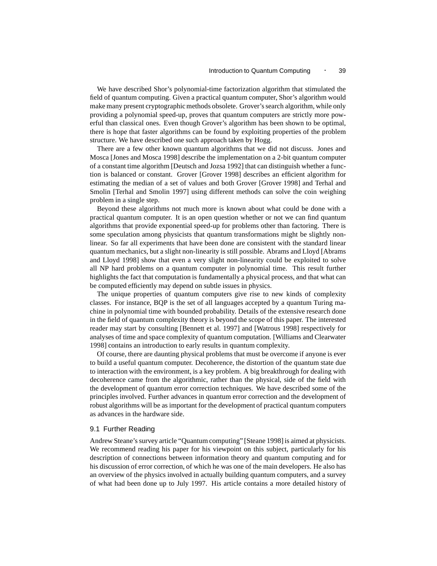We have described Shor's polynomial-time factorization algorithm that stimulated the field of quantum computing. Given a practical quantum computer, Shor's algorithm would make many present cryptographic methods obsolete. Grover's search algorithm, while only providing a polynomial speed-up, proves that quantum computers are strictly more powerful than classical ones. Even though Grover's algorithm has been shown to be optimal, there is hope that faster algorithms can be found by exploiting properties of the problem structure. We have described one such approach taken by Hogg.

There are a few other known quantum algorithms that we did not discuss. Jones and Mosca [Jones and Mosca 1998] describe the implementation on a 2-bit quantum computer of a constant time algorithm [Deutsch and Jozsa 1992] that can distinguish whether a function is balanced or constant. Grover [Grover 1998] describes an efficient algorithm for estimating the median of a set of values and both Grover [Grover 1998] and Terhal and Smolin [Terhal and Smolin 1997] using different methods can solve the coin weighing problem in a single step.

Beyond these algorithms not much more is known about what could be done with a practical quantum computer. It is an open question whether or not we can find quantum algorithms that provide exponential speed-up for problems other than factoring. There is some speculation among physicists that quantum transformations might be slightly nonlinear. So far all experiments that have been done are consistent with the standard linear quantum mechanics, but a slight non-linearity is still possible. Abrams and Lloyd [Abrams and Lloyd 1998] show that even a very slight non-linearity could be exploited to solve all NP hard problems on a quantum computer in polynomial time. This result further highlights the fact that computation is fundamentally a physical process, and that what can be computed efficiently may depend on subtle issues in physics.

The unique properties of quantum computers give rise to new kinds of complexity classes. For instance, BQP is the set of all languages accepted by a quantum Turing machine in polynomial time with bounded probability. Details of the extensive research done in the field of quantum complexity theory is beyond the scope of this paper. The interested reader may start by consulting [Bennett et al. 1997] and [Watrous 1998] respectively for analyses of time and space complexity of quantum computation. [Williams and Clearwater 1998] contains an introduction to early results in quantum complexity.

Of course, there are daunting physical problems that must be overcome if anyone is ever to build a useful quantum computer. Decoherence, the distortion of the quantum state due to interaction with the environment, is a key problem. A big breakthrough for dealing with decoherence came from the algorithmic, rather than the physical, side of the field with the development of quantum error correction techniques. We have described some of the principles involved. Further advances in quantum error correction and the development of robust algorithms will be as important for the development of practical quantum computers as advances in the hardware side.

#### 9.1 Further Reading

Andrew Steane's survey article "Quantum computing" [Steane 1998] is aimed at physicists. We recommend reading his paper for his viewpoint on this subject, particularly for his description of connections between information theory and quantum computing and for his discussion of error correction, of which he was one of the main developers. He also has an overview of the physics involved in actually building quantum computers, and a survey of what had been done up to July 1997. His article contains a more detailed history of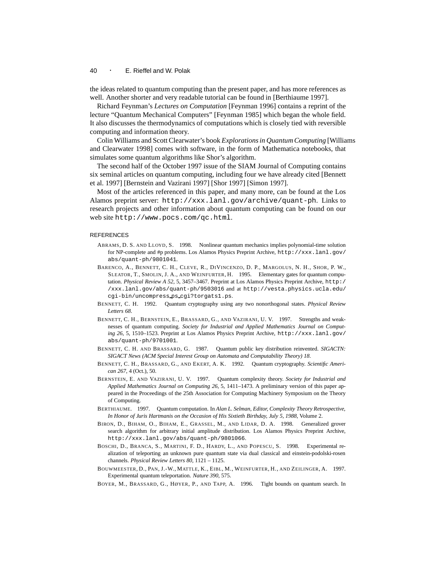the ideas related to quantum computing than the present paper, and has more references as well. Another shorter and very readable tutorial can be found in [Berthiaume 1997].

Richard Feynman's *Lectures on Computation* [Feynman 1996] contains a reprint of the lecture "Quantum Mechanical Computers" [Feynman 1985] which began the whole field. It also discusses the thermodynamics of computations which is closely tied with reversible computing and information theory.

Colin Williams and Scott Clearwater's book *Explorations in Quantum Computing* [Williams and Clearwater 1998] comes with software, in the form of Mathematica notebooks, that simulates some quantum algorithms like Shor's algorithm.

The second half of the October 1997 issue of the SIAM Journal of Computing contains six seminal articles on quantum computing, including four we have already cited [Bennett et al. 1997] [Bernstein and Vazirani 1997] [Shor 1997] [Simon 1997].

Most of the articles referenced in this paper, and many more, can be found at the Los Alamos preprint server: http://xxx.lanl.gov/archive/quant-ph. Links to research projects and other information about quantum computing can be found on our web site http://www.pocs.com/qc.html.

## REFERENCES

- ABRAMS, D. S. AND LLOYD, S. 1998. Nonlinear quantum mechanics implies polynomial-time solution for NP-complete and #p problems. Los Alamos Physics Preprint Archive, http://xxx.lanl.gov/ abs/quant-ph/9801041.
- BARENCO, A., BENNETT, C. H., CLEVE, R., DIVINCENZO, D. P., MARGOLUS, N. H., SHOR, P. W., SLEATOR, T., SMOLIN, J. A., AND WEINFURTER, H. 1995. Elementary gates for quantum computation. *Physical Review A 52*, 5, 3457–3467. Preprint at Los Alamos Physics Preprint Archive, http:/ /xxx.lanl.gov/abs/quant-ph/9503016 and at http://vesta.physics.ucla.edu/ cgi-bin/uncompress ps cgi?torgats1.ps.
- BENNETT, C. H. 1992. Quantum cryptography using any two nonorthogonal states. *Physical Review Letters 68*.
- BENNETT, C. H., BERNSTEIN, E., BRASSARD, G., AND VAZIRANI, U. V. 1997. Strengths and weaknesses of quantum computing. *Society for Industrial and Applied Mathematics Journal on Computing 26*, 5, 1510–1523. Preprint at Los Alamos Physics Preprint Archive, http://xxx.lanl.gov/ abs/quant-ph/9701001.
- BENNETT, C. H. AND BRASSARD, G. 1987. Quantum public key distribution reinvented. *SIGACTN: SIGACT News (ACM Special Interest Group on Automata and Computability Theory) 18*.
- BENNETT, C. H., BRASSARD, G., AND EKERT, A. K. 1992. Quantum cryptography. *Scientific American 267*, 4 (Oct.), 50.
- BERNSTEIN, E. AND VAZIRANI, U. V. 1997. Quantum complexity theory. *Society for Industrial and Applied Mathematics Journal on Computing 26*, 5, 1411–1473. A preliminary version of this paper appeared in the Proceedings of the 25th Association for Computing Machinery Symposium on the Theory of Computing.
- BERTHIAUME. 1997. Quantum computation. In *Alan L. Selman, Editor, Complexity Theory Retrospective, In Honor of Juris Hartmanis on the Occasion of His Sixtieth Birthday, July 5, 1988*, Volume 2.
- BIRON, D., BIHAM, O., BIHAM, E., GRASSEL, M., AND LIDAR, D. A. 1998. Generalized grover search algorithm for arbitrary initial amplitude distribution. Los Alamos Physics Preprint Archive, http://xxx.lanl.gov/abs/quant-ph/9801066.
- BOSCHI, D., BRANCA, S., MARTINI, F. D., HARDY, L., AND POPESCU, S. 1998. Experimental realization of teleporting an unknown pure quantum state via dual classical and einstein-podolski-rosen channels. *Physical Review Letters 80*, 1121 – 1125.
- BOUWMEESTER, D., PAN, J.-W., MATTLE, K., EIBL, M., WEINFURTER, H., AND ZEILINGER, A. 1997. Experimental quantum teleportation. *Nature 390*, 575.
- BOYER, M., BRASSARD, G., HØYER, P., AND TAPP, A. 1996. Tight bounds on quantum search. In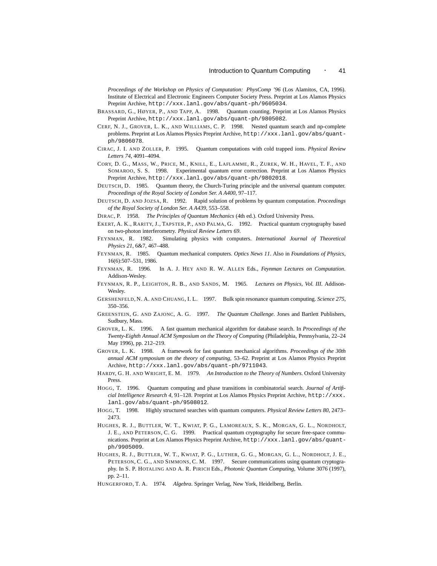*Proceedings of the Workshop on Physics of Computation: PhysComp '96* (Los Alamitos, CA, 1996). Institute of Electrical and Electronic Engineers Computer Society Press. Preprint at Los Alamos Physics Preprint Archive, http://xxx.lanl.gov/abs/quant-ph/9605034.

- BRASSARD, G., HØYER, P., AND TAPP, A. 1998. Quantum counting. Preprint at Los Alamos Physics Preprint Archive, http://xxx.lanl.gov/abs/quant-ph/9805082.
- CERF, N. J., GROVER, L. K., AND WILLIAMS, C. P. 1998. Nested quantum search and np-complete problems. Preprint at Los Alamos Physics Preprint Archive, http://xxx.lanl.gov/abs/quantph/9806078.
- CIRAC, J. I. AND ZOLLER, P. 1995. Quantum computations with cold trapped ions. *Physical Review Letters 74*, 4091–4094.
- CORY, D. G., MASS, W., PRICE, M., KNILL, E., LAFLAMME, R., ZUREK, W. H., HAVEL, T. F., AND SOMAROO, S. S. 1998. Experimental quantum error correction. Preprint at Los Alamos Physics Preprint Archive, http://xxx.lanl.gov/abs/quant-ph/9802018.
- DEUTSCH, D. 1985. Quantum theory, the Church-Turing principle and the universal quantum computer. *Proceedings of the Royal Society of London Ser. A A400*, 97–117.
- DEUTSCH, D. AND JOZSA, R. 1992. Rapid solution of problems by quantum computation. *Proceedings of the Royal Society of London Ser. A A439*, 553–558.
- DIRAC, P. 1958. *The Principles of Quantum Mechanics* (4th ed.). Oxford University Press.
- EKERT, A. K., RARITY, J., TAPSTER, P., AND PALMA, G. 1992. Practical quantum cryptography based on two-photon interferometry. *Physical Review Letters 69*.
- FEYNMAN, R. 1982. Simulating physics with computers. *International Journal of Theoretical Physics 21*, 6&7, 467–488.
- FEYNMAN, R. 1985. Quantum mechanical computers. *Optics News 11*. Also in *Foundations of Physics*, 16(6):507–531, 1986.
- FEYNMAN, R. 1996. In A. J. HEY AND R. W. ALLEN Eds., *Feynman Lectures on Computation*. Addison-Wesley.
- FEYNMAN, R. P., LEIGHTON, R. B., AND SANDS, M. 1965. *Lectures on Physics, Vol. III*. Addison-Wesley.
- GERSHENFELD, N. A. AND CHUANG, I. L. 1997. Bulk spin resonance quantum computing. *Science 275*, 350–356.
- GREENSTEIN, G. AND ZAJONC, A. G. 1997. *The Quantum Challenge*. Jones and Bartlett Publishers, Sudbury, Mass.
- GROVER, L. K. 1996. A fast quantum mechanical algorithm for database search. In *Proceedings of the Twenty-Eighth Annual ACM Symposium on the Theory of Computing* (Philadelphia, Pennsylvania, 22–24 May 1996), pp. 212–219.
- GROVER, L. K. 1998. A framework for fast quantum mechanical algorithms. *Proceedings of the 30th annual ACM symposium on the theory of computing*, 53–62. Preprint at Los Alamos Physics Preprint Archive, http://xxx.lanl.gov/abs/quant-ph/9711043.
- HARDY, G. H. AND WRIGHT, E. M. 1979. *An Introduction to the Theory of Numbers*. Oxford University Press.
- HOGG, T. 1996. Quantum computing and phase transitions in combinatorial search. *Journal of Artificial Intelligence Research 4*, 91–128. Preprint at Los Alamos Physics Preprint Archive, http://xxx. lanl.gov/abs/quant-ph/9508012.
- HOGG, T. 1998. Highly structured searches with quantum computers. *Physical Review Letters 80*, 2473– 2473.
- HUGHES, R. J., BUTTLER, W. T., KWIAT, P. G., LAMOREAUX, S. K., MORGAN, G. L., NORDHOLT, J. E., AND PETERSON, C. G. 1999. Practical quantum cryptography for secure free-space communications. Preprint at Los Alamos Physics Preprint Archive, http://xxx.lanl.gov/abs/quantph/9905009.
- HUGHES, R. J., BUTTLER, W. T., KWIAT, P. G., LUTHER, G. G., MORGAN, G. L., NORDHOLT, J. E., PETERSON, C. G., AND SIMMONS, C. M. 1997. Secure communications using quantum cryptography. In S. P. HOTALING AND A. R. PIRICH Eds., *Photonic Quantum Computing*, Volume 3076 (1997), pp. 2–11.
- HUNGERFORD, T. A. 1974. *Algebra*. Springer Verlag, New York, Heidelberg, Berlin.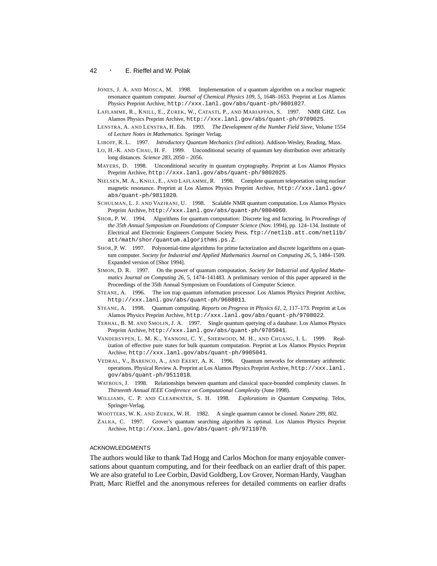- JONES, J. A. AND MOSCA, M. 1998. Implementation of a quantum algorithm on a nuclear magnetic resonance quantum computer. *Journal of Chemical Physics 109*, 5, 1648–1653. Preprint at Los Alamos Physics Preprint Archive, http://xxx.lanl.gov/abs/quant-ph/9801027.
- LAFLAMME, R., KNILL, E., ZUREK, W., CATASTI, P., AND MARIAPPAN, S. 1997. NMR GHZ. Los Alamos Physics Preprint Archive, http://xxx.lanl.gov/abs/quant-ph/9709025.
- LENSTRA, A. AND LENSTRA, H. Eds. 1993. *The Development of the Number Field Sieve*, Volume 1554 of *Lecture Notes in Mathematics*. Springer Verlag.
- LIBOFF, R. L. 1997. *Introductory Quantum Mechanics (3rd edition)*. Addison-Wesley, Reading, Mass.
- LO, H.-K. AND CHAU, H. F. 1999. Unconditional security of quantum key distribution over arbitrarily long distances. *Science 283*, 2050 – 2056.
- MAYERS, D. 1998. Unconditional security in quantum cryptography. Preprint at Los Alamos Physics Preprint Archive, http://xxx.lanl.gov/abs/quant-ph/9802025.
- NIELSEN, M. A., KNILL, E., AND LAFLAMME, R. 1998. Complete quantum teleportation using nuclear magnetic resonance. Preprint at Los Alamos Physics Preprint Archive, http://xxx.lanl.gov/ abs/quant-ph/9811020.
- SCHULMAN, L. J. AND VAZIRANI, U. 1998. Scalable NMR quantum computation. Los Alamos Physics Preprint Archive, http://xxx.lanl.gov/abs/quant-ph/9804060.
- SHOR, P. W. 1994. Algorithms for quantum computation: Discrete log and factoring. In *Proceedings of the 35th Annual Symposium on Foundations of Computer Science* (Nov. 1994), pp. 124–134. Institute of Electrical and Electronic Engineers Computer Society Press. ftp://netlib.att.com/netlib/ att/math/shor/quantum.algorithms.ps.Z.
- SHOR, P. W. 1997. Polynomial-time algorithms for prime factorization and discrete logarithms on a quantum computer. *Society for Industrial and Applied Mathematics Journal on Computing 26*, 5, 1484–1509. Expanded version of [Shor 1994].
- SIMON, D. R. 1997. On the power of quantum computation. *Society for Industrial and Applied Mathematics Journal on Computing 26*, 5, 1474–141483. A preliminary version of this paper appeared in the Proceedings of the 35th Annual Symposium on Foundations of Computer Science.
- STEANE, A. 1996. The ion trap quantum information processor. Los Alamos Physics Preprint Archive, http://xxx.lanl.gov/abs/quant-ph/9608011.
- STEANE, A. 1998. Quantum computing. *Reports on Progress in Physics 61*, 2, 117–173. Preprint at Los Alamos Physics Preprint Archive, http://xxx.lanl.gov/abs/quant-ph/9708022.
- TERHAL, B. M. AND SMOLIN, J. A. 1997. Single quantum querying of a database. Los Alamos Physics Preprint Archive, http://xxx.lanl.gov/abs/quant-ph/9705041.
- VANDERSYPEN, L. M. K., YANNONI, C. Y., SHERWOOD, M. H., AND CHUANG, I. L. 1999. Realization of effective pure states for bulk quantum computation. Preprint at Los Alamos Physics Preprint Archive, http://xxx.lanl.gov/abs/quant-ph/9905041.
- VEDRAL, V., BARENCO, A., AND EKERT, A. K. 1996. Quantum networks for elementary arithmetic operations. Physical Review A. Preprint at Los Alamos Physics Preprint Archive, http://xxx.lanl. gov/abs/quant-ph/9511018.
- WATROUS, J. 1998. Relationships between quantum and classical space-bounded complexity classes. In *Thirteenth Annual IEEE Conference on Computational Complexity* (June 1998).
- WILLIAMS, C. P. AND CLEARWATER, S. H. 1998. *Explorations in Quantum Computing*. Telos, Springer-Verlag.
- WOOTTERS, W. K. AND ZUREK, W. H. 1982. A single quantum cannot be cloned. *Nature 299*, 802.
- ZALKA, C. 1997. Grover's quantum searching algorithm is optimal. Los Alamos Physics Preprint Archive, http://xxx.lanl.gov/abs/quant-ph/9711070.

# ACKNOWLEDGMENTS

The authors would like to thank Tad Hogg and Carlos Mochon for many enjoyable conversations about quantum computing, and for their feedback on an earlier draft of this paper. We are also grateful to Lee Corbin, David Goldberg, Lov Grover, Norman Hardy, Vaughan Pratt, Marc Rieffel and the anonymous referees for detailed comments on earlier drafts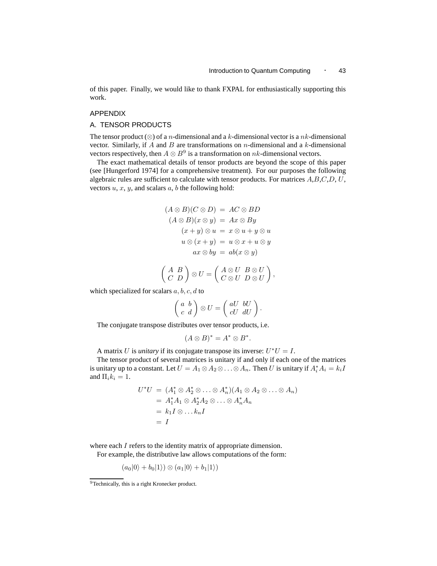of this paper. Finally, we would like to thank FXPAL for enthusiastically supporting this work.

# APPENDIX

# A. TENSOR PRODUCTS

The tensor product ( $\otimes$ ) of a *n*-dimensional and a *k*-dimensional vector is a *nk*-dimensional vector. Similarly, if  $A$  and  $B$  are transformations on  $n$ -dimensional and a  $k$ -dimensional vectors respectively, then  $A \otimes B^9$  is a transformation on  $nk$ -dimensional vectors.

The exact mathematical details of tensor products are beyond the scope of this paper (see [Hungerford 1974] for a comprehensive treatment). For our purposes the following algebraic rules are sufficient to calculate with tensor products. For matrices  $A, B, C, D, U$ , vectors  $u, x, y$ , and scalars  $a, b$  the following hold:

$$
(A \otimes B)(C \otimes D) = AC \otimes BD
$$
  
\n
$$
(A \otimes B)(x \otimes y) = Ax \otimes By
$$
  
\n
$$
(x + y) \otimes u = x \otimes u + y \otimes u
$$
  
\n
$$
u \otimes (x + y) = u \otimes x + u \otimes y
$$
  
\n
$$
ax \otimes by = ab(x \otimes y)
$$

$$
\left(\begin{array}{cc} A & B \\ C & D \end{array}\right) \otimes U = \left(\begin{array}{cc} A \otimes U & B \otimes U \\ C \otimes U & D \otimes U \end{array}\right),\,
$$

which specialized for scalars  $a, b, c, d$  to

$$
\left(\begin{array}{cc} a & b \\ c & d \end{array}\right) \otimes U = \left(\begin{array}{cc} aU & bU \\ cU & dU \end{array}\right).
$$

The conjugate transpose distributes over tensor products, i.e.

$$
(A \otimes B)^* = A^* \otimes B^*.
$$

A matrix U is *unitary* if its conjugate transpose its inverse:  $U^*U = I$ .

The tensor product of several matrices is unitary if and only if each one of the matrices is unitary up to a constant. Let  $U = A_1 \otimes A_2 \otimes \ldots \otimes A_n$ . Then  $U$  is unitary if  $A_i^* A_i = k_i I$ and  $\Pi_i k_i = 1$ .

$$
U^*U = (A_1^* \otimes A_2^* \otimes \ldots \otimes A_n^*)(A_1 \otimes A_2 \otimes \ldots \otimes A_n)
$$
  
=  $A_1^* A_1 \otimes A_2^* A_2 \otimes \ldots \otimes A_n^* A_n$   
=  $k_1 I \otimes \ldots k_n I$   
= I

where each *I* refers to the identity matrix of appropriate dimension.

For example, the distributive law allows computations of the form:

$$
(a_0|0\rangle + b_0|1\rangle) \otimes (a_1|0\rangle + b_1|1\rangle)
$$

<sup>&</sup>lt;sup>9</sup>Technically, this is a right Kronecker product.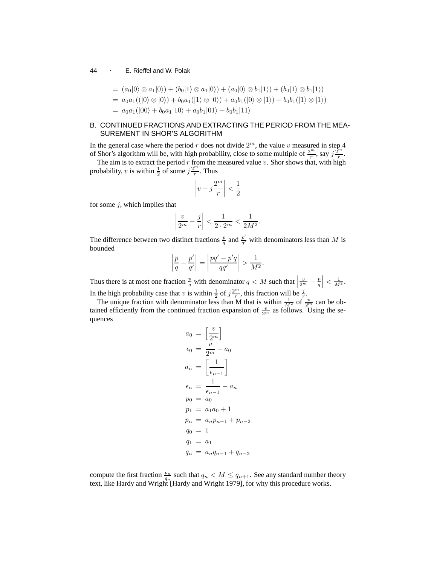$$
= (a_0|0\rangle \otimes a_1|0\rangle) + (b_0|1\rangle \otimes a_1|0\rangle) + (a_0|0\rangle \otimes b_1|1\rangle) + (b_0|1\rangle \otimes b_1|1\rangle)
$$
  
\n
$$
= a_0a_1((|0\rangle \otimes |0\rangle) + b_0a_1(|1\rangle \otimes |0\rangle) + a_0b_1(|0\rangle \otimes |1\rangle) + b_0b_1(|1\rangle \otimes |1\rangle)
$$
  
\n
$$
= a_0a_1(|00\rangle + b_0a_1|10\rangle + a_0b_1|01\rangle + b_0b_1|11\rangle)
$$

B. CONTINUED FRACTIONS AND EXTRACTING THE PERIOD FROM THE MEA-SUREMENT IN SHOR'S ALGORITHM

In the general case where the period r does not divide  $2<sup>m</sup>$ , the value v measured in step 4 of Shor's algorithm will be, with high probability, close to some multiple of  $\frac{2^m}{r}$ , say  $j\frac{2^m}{r}$ .

The aim is to extract the period  $r$  from the measured value  $v$ . Shor shows that, with high probability, v is within  $\frac{1}{2}$  of some  $j\frac{2^m}{r}$ . Thus

$$
\left|v-j\frac{2^m}{r}\right|<\frac{1}{2}
$$

for some  $j$ , which implies that

$$
\left|\frac{v}{2^m}-\frac{j}{r}\right|<\frac{1}{2\cdot 2^m}<\frac{1}{2M^2}.
$$

The difference between two distinct fractions  $\frac{p}{q}$  and  $\frac{p'}{q'}$  $\frac{p}{q'}$  with denominators less than M is bounded

$$
\left|\frac{p}{q} - \frac{p'}{q'}\right| = \left|\frac{pq' - p'q}{qq'}\right| > \frac{1}{M^2}
$$

.

Thus there is at most one fraction  $\frac{p}{q}$  with denominator  $q < M$  such that  $\left|\frac{v}{2^m} - \frac{p}{q}\right| < \frac{1}{M^2}$ . In the high probability case that v is within  $\frac{1}{2}$  of  $j\frac{2^m}{r}$ , this fraction will be  $\frac{j}{r}$ .

The unique fraction with denominator less than M that is within  $\frac{1}{M^2}$  of  $\frac{v}{2^m}$  can be obtained efficiently from the continued fraction expansion of  $\frac{v}{2^m}$  as follows. Using the sequences

$$
a_0 = \left[\frac{v}{2^m}\right]
$$
  
\n
$$
\epsilon_0 = \frac{v}{2^m} - a_0
$$
  
\n
$$
a_n = \left[\frac{1}{\epsilon_{n-1}}\right]
$$
  
\n
$$
\epsilon_n = \frac{1}{\epsilon_{n-1}} - a_n
$$
  
\n
$$
p_0 = a_0
$$
  
\n
$$
p_1 = a_1a_0 + 1
$$
  
\n
$$
p_n = a_np_{n-1} + p_{n-2}
$$
  
\n
$$
q_0 = 1
$$
  
\n
$$
q_1 = a_1
$$
  
\n
$$
q_n = a_nq_{n-1} + q_{n-2}
$$

compute the first fraction  $\frac{p_n}{q_n}$  such that  $q_n < M \leq q_{n+1}$ . See any standard number theory text, like Hardy and Wright [Hardy and Wright 1979], for why this procedure works.